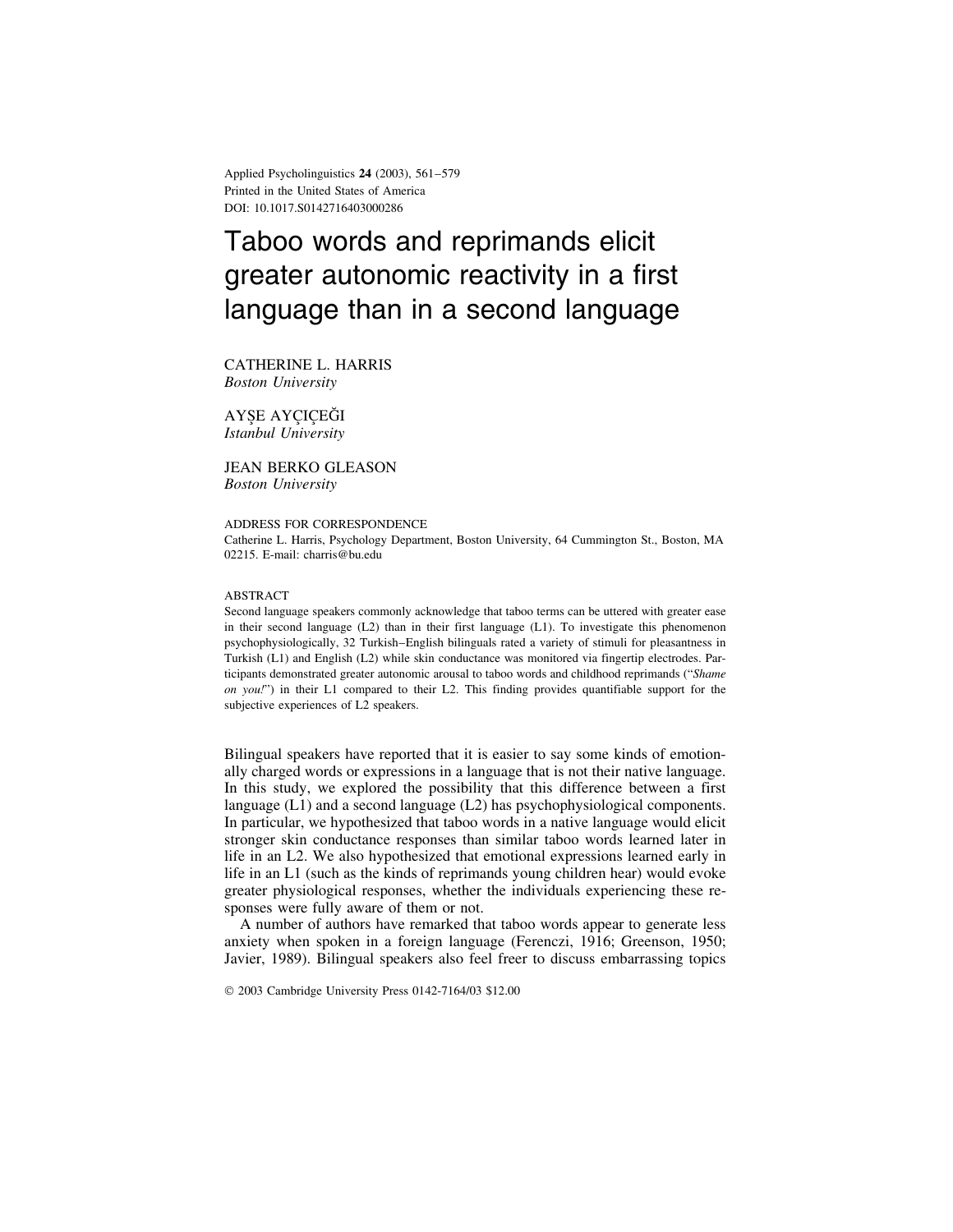Applied Psycholinguistics **24** (2003), 561–579 Printed in the United States of America DOI: 10.1017.S0142716403000286

# Taboo words and reprimands elicit greater autonomic reactivity in a first language than in a second language

CATHERINE L. HARRIS *Boston University*

AYŞE AYÇIÇEĞI *Istanbul University*

JEAN BERKO GLEASON *Boston University*

ADDRESS FOR CORRESPONDENCE Catherine L. Harris, Psychology Department, Boston University, 64 Cummington St., Boston, MA 02215. E-mail: charris@bu.edu

#### ABSTRACT

Second language speakers commonly acknowledge that taboo terms can be uttered with greater ease in their second language (L2) than in their first language (L1). To investigate this phenomenon psychophysiologically, 32 Turkish–English bilinguals rated a variety of stimuli for pleasantness in Turkish (L1) and English (L2) while skin conductance was monitored via fingertip electrodes. Participants demonstrated greater autonomic arousal to taboo words and childhood reprimands ("*Shame on you!*") in their L1 compared to their L2. This finding provides quantifiable support for the subjective experiences of L2 speakers.

Bilingual speakers have reported that it is easier to say some kinds of emotionally charged words or expressions in a language that is not their native language. In this study, we explored the possibility that this difference between a first language (L1) and a second language (L2) has psychophysiological components. In particular, we hypothesized that taboo words in a native language would elicit stronger skin conductance responses than similar taboo words learned later in life in an L2. We also hypothesized that emotional expressions learned early in life in an L1 (such as the kinds of reprimands young children hear) would evoke greater physiological responses, whether the individuals experiencing these responses were fully aware of them or not.

A number of authors have remarked that taboo words appear to generate less anxiety when spoken in a foreign language (Ferenczi, 1916; Greenson, 1950; Javier, 1989). Bilingual speakers also feel freer to discuss embarrassing topics

2003 Cambridge University Press 0142-7164/03 \$12.00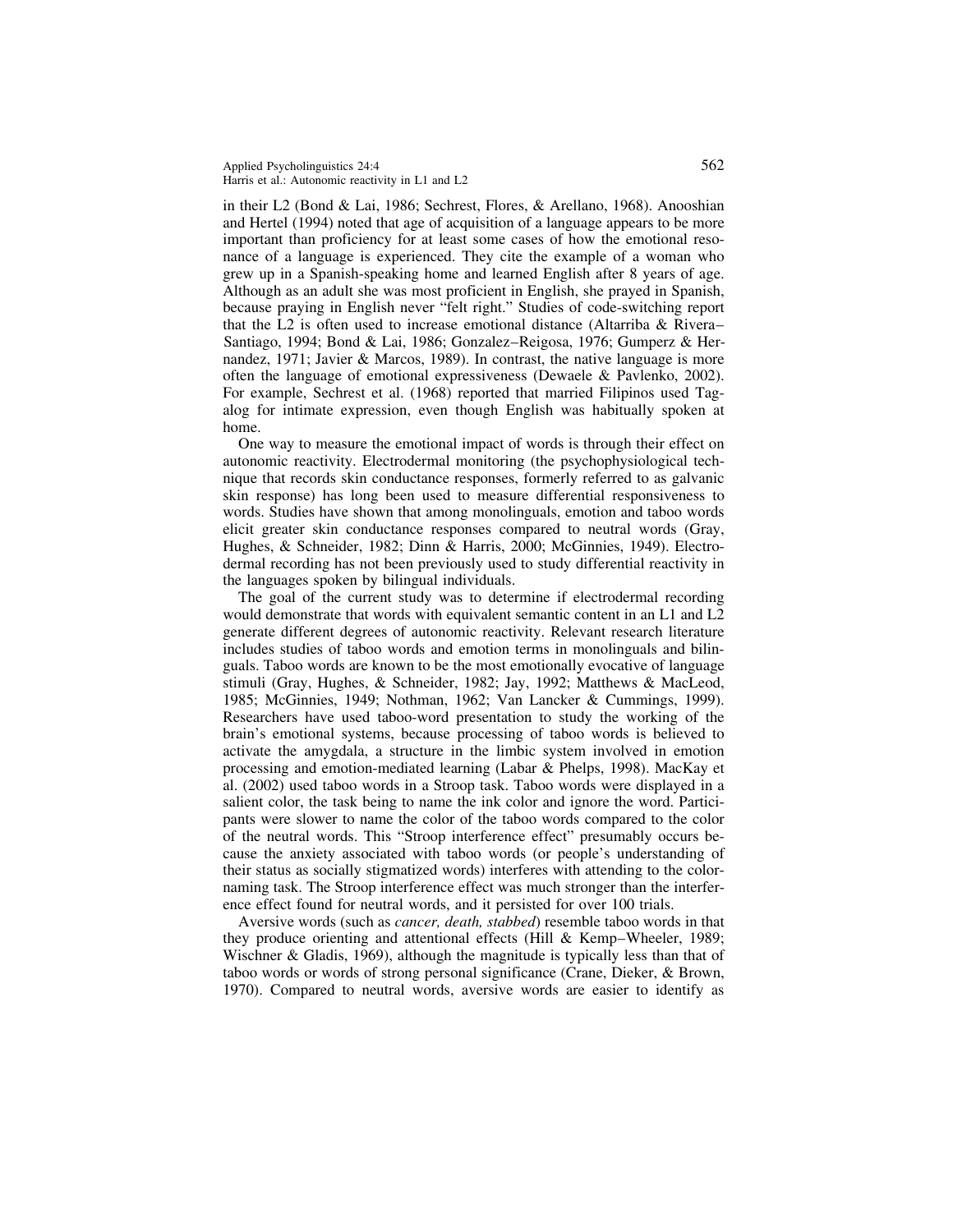## Applied Psycholinguistics 24:4 562 Harris et al.: Autonomic reactivity in L1 and L2

in their L2 (Bond & Lai, 1986; Sechrest, Flores, & Arellano, 1968). Anooshian and Hertel (1994) noted that age of acquisition of a language appears to be more important than proficiency for at least some cases of how the emotional resonance of a language is experienced. They cite the example of a woman who grew up in a Spanish-speaking home and learned English after 8 years of age. Although as an adult she was most proficient in English, she prayed in Spanish, because praying in English never "felt right." Studies of code-switching report that the L2 is often used to increase emotional distance (Altarriba & Rivera– Santiago, 1994; Bond & Lai, 1986; Gonzalez–Reigosa, 1976; Gumperz & Hernandez, 1971; Javier & Marcos, 1989). In contrast, the native language is more often the language of emotional expressiveness (Dewaele & Pavlenko, 2002). For example, Sechrest et al. (1968) reported that married Filipinos used Tagalog for intimate expression, even though English was habitually spoken at home.

One way to measure the emotional impact of words is through their effect on autonomic reactivity. Electrodermal monitoring (the psychophysiological technique that records skin conductance responses, formerly referred to as galvanic skin response) has long been used to measure differential responsiveness to words. Studies have shown that among monolinguals, emotion and taboo words elicit greater skin conductance responses compared to neutral words (Gray, Hughes, & Schneider, 1982; Dinn & Harris, 2000; McGinnies, 1949). Electrodermal recording has not been previously used to study differential reactivity in the languages spoken by bilingual individuals.

The goal of the current study was to determine if electrodermal recording would demonstrate that words with equivalent semantic content in an L1 and L2 generate different degrees of autonomic reactivity. Relevant research literature includes studies of taboo words and emotion terms in monolinguals and bilinguals. Taboo words are known to be the most emotionally evocative of language stimuli (Gray, Hughes, & Schneider, 1982; Jay, 1992; Matthews & MacLeod, 1985; McGinnies, 1949; Nothman, 1962; Van Lancker & Cummings, 1999). Researchers have used taboo-word presentation to study the working of the brain's emotional systems, because processing of taboo words is believed to activate the amygdala, a structure in the limbic system involved in emotion processing and emotion-mediated learning (Labar & Phelps, 1998). MacKay et al. (2002) used taboo words in a Stroop task. Taboo words were displayed in a salient color, the task being to name the ink color and ignore the word. Participants were slower to name the color of the taboo words compared to the color of the neutral words. This "Stroop interference effect" presumably occurs because the anxiety associated with taboo words (or people's understanding of their status as socially stigmatized words) interferes with attending to the colornaming task. The Stroop interference effect was much stronger than the interference effect found for neutral words, and it persisted for over 100 trials.

Aversive words (such as *cancer, death, stabbed*) resemble taboo words in that they produce orienting and attentional effects (Hill & Kemp–Wheeler, 1989; Wischner & Gladis, 1969), although the magnitude is typically less than that of taboo words or words of strong personal significance (Crane, Dieker, & Brown, 1970). Compared to neutral words, aversive words are easier to identify as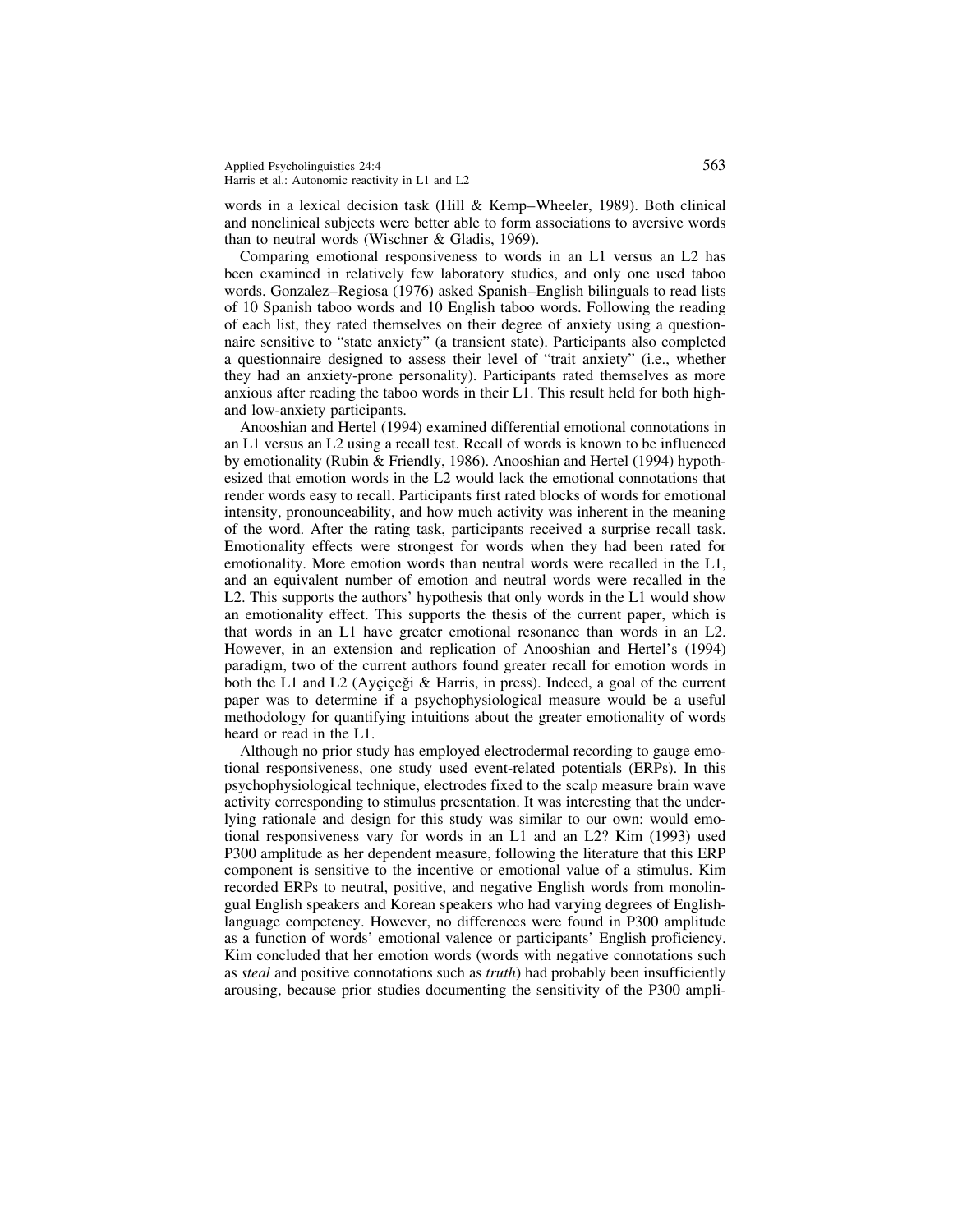words in a lexical decision task (Hill & Kemp–Wheeler, 1989). Both clinical and nonclinical subjects were better able to form associations to aversive words than to neutral words (Wischner & Gladis, 1969).

Comparing emotional responsiveness to words in an L1 versus an L2 has been examined in relatively few laboratory studies, and only one used taboo words. Gonzalez–Regiosa (1976) asked Spanish–English bilinguals to read lists of 10 Spanish taboo words and 10 English taboo words. Following the reading of each list, they rated themselves on their degree of anxiety using a questionnaire sensitive to "state anxiety" (a transient state). Participants also completed a questionnaire designed to assess their level of "trait anxiety" (i.e., whether they had an anxiety-prone personality). Participants rated themselves as more anxious after reading the taboo words in their L1. This result held for both highand low-anxiety participants.

Anooshian and Hertel (1994) examined differential emotional connotations in an L1 versus an L2 using a recall test. Recall of words is known to be influenced by emotionality (Rubin & Friendly, 1986). Anooshian and Hertel (1994) hypothesized that emotion words in the L2 would lack the emotional connotations that render words easy to recall. Participants first rated blocks of words for emotional intensity, pronounceability, and how much activity was inherent in the meaning of the word. After the rating task, participants received a surprise recall task. Emotionality effects were strongest for words when they had been rated for emotionality. More emotion words than neutral words were recalled in the L1, and an equivalent number of emotion and neutral words were recalled in the L2. This supports the authors' hypothesis that only words in the L1 would show an emotionality effect. This supports the thesis of the current paper, which is that words in an L1 have greater emotional resonance than words in an L2. However, in an extension and replication of Anooshian and Hertel's (1994) paradigm, two of the current authors found greater recall for emotion words in both the L1 and L2 (Ayçiçeği & Harris, in press). Indeed, a goal of the current paper was to determine if a psychophysiological measure would be a useful methodology for quantifying intuitions about the greater emotionality of words heard or read in the L1.

Although no prior study has employed electrodermal recording to gauge emotional responsiveness, one study used event-related potentials (ERPs). In this psychophysiological technique, electrodes fixed to the scalp measure brain wave activity corresponding to stimulus presentation. It was interesting that the underlying rationale and design for this study was similar to our own: would emotional responsiveness vary for words in an L1 and an L2? Kim (1993) used P300 amplitude as her dependent measure, following the literature that this ERP component is sensitive to the incentive or emotional value of a stimulus. Kim recorded ERPs to neutral, positive, and negative English words from monolingual English speakers and Korean speakers who had varying degrees of Englishlanguage competency. However, no differences were found in P300 amplitude as a function of words' emotional valence or participants' English proficiency. Kim concluded that her emotion words (words with negative connotations such as *steal* and positive connotations such as *truth*) had probably been insufficiently arousing, because prior studies documenting the sensitivity of the P300 ampli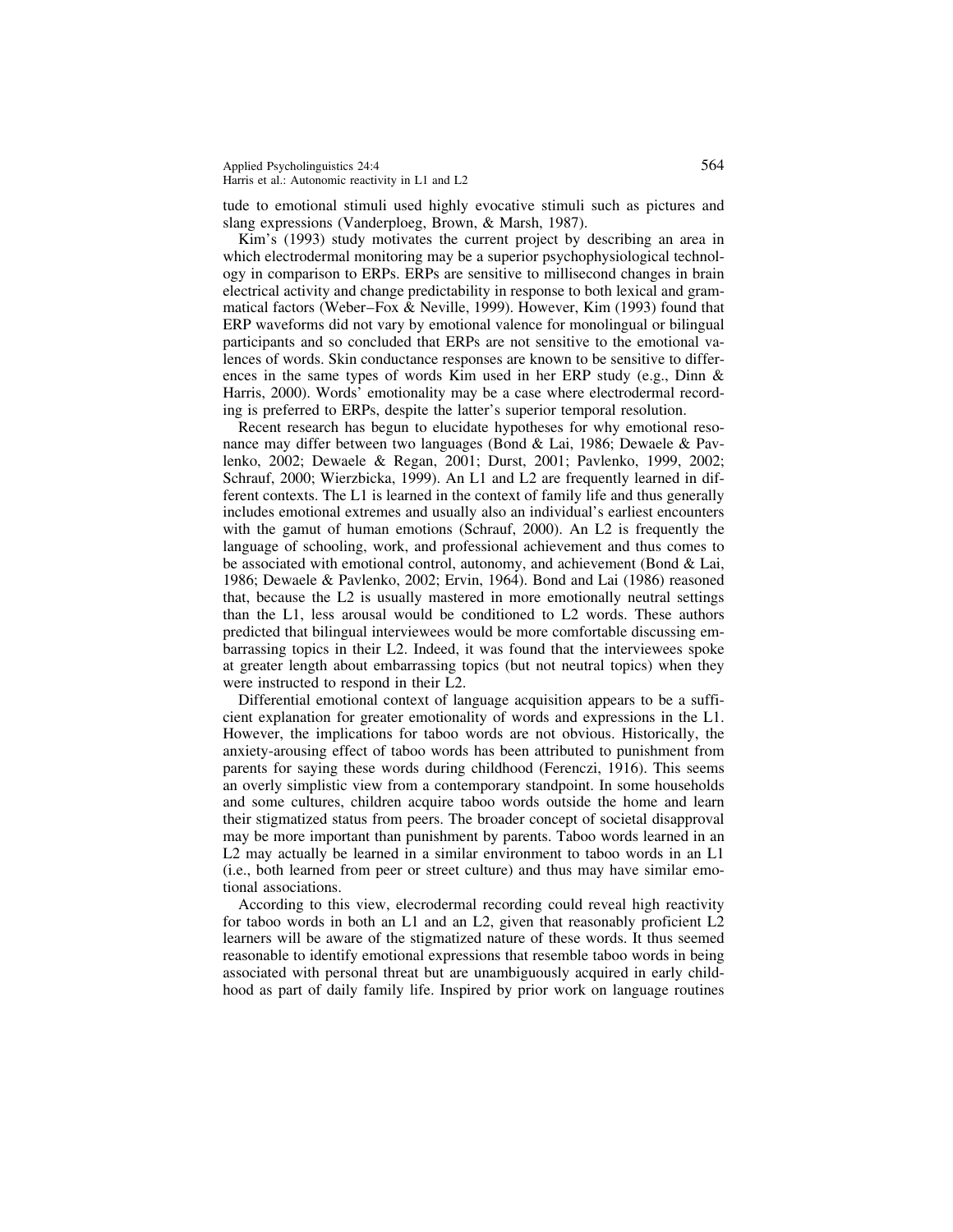tude to emotional stimuli used highly evocative stimuli such as pictures and slang expressions (Vanderploeg, Brown, & Marsh, 1987).

Kim's (1993) study motivates the current project by describing an area in which electrodermal monitoring may be a superior psychophysiological technology in comparison to ERPs. ERPs are sensitive to millisecond changes in brain electrical activity and change predictability in response to both lexical and grammatical factors (Weber–Fox & Neville, 1999). However, Kim (1993) found that ERP waveforms did not vary by emotional valence for monolingual or bilingual participants and so concluded that ERPs are not sensitive to the emotional valences of words. Skin conductance responses are known to be sensitive to differences in the same types of words Kim used in her ERP study (e.g., Dinn & Harris, 2000). Words' emotionality may be a case where electrodermal recording is preferred to ERPs, despite the latter's superior temporal resolution.

Recent research has begun to elucidate hypotheses for why emotional resonance may differ between two languages (Bond & Lai, 1986; Dewaele & Pavlenko, 2002; Dewaele & Regan, 2001; Durst, 2001; Pavlenko, 1999, 2002; Schrauf, 2000; Wierzbicka, 1999). An L1 and L2 are frequently learned in different contexts. The L1 is learned in the context of family life and thus generally includes emotional extremes and usually also an individual's earliest encounters with the gamut of human emotions (Schrauf, 2000). An L2 is frequently the language of schooling, work, and professional achievement and thus comes to be associated with emotional control, autonomy, and achievement (Bond & Lai, 1986; Dewaele & Pavlenko, 2002; Ervin, 1964). Bond and Lai (1986) reasoned that, because the L2 is usually mastered in more emotionally neutral settings than the L1, less arousal would be conditioned to L2 words. These authors predicted that bilingual interviewees would be more comfortable discussing embarrassing topics in their L2. Indeed, it was found that the interviewees spoke at greater length about embarrassing topics (but not neutral topics) when they were instructed to respond in their L2.

Differential emotional context of language acquisition appears to be a sufficient explanation for greater emotionality of words and expressions in the L1. However, the implications for taboo words are not obvious. Historically, the anxiety-arousing effect of taboo words has been attributed to punishment from parents for saying these words during childhood (Ferenczi, 1916). This seems an overly simplistic view from a contemporary standpoint. In some households and some cultures, children acquire taboo words outside the home and learn their stigmatized status from peers. The broader concept of societal disapproval may be more important than punishment by parents. Taboo words learned in an L2 may actually be learned in a similar environment to taboo words in an L1 (i.e., both learned from peer or street culture) and thus may have similar emotional associations.

According to this view, elecrodermal recording could reveal high reactivity for taboo words in both an L1 and an L2, given that reasonably proficient L2 learners will be aware of the stigmatized nature of these words. It thus seemed reasonable to identify emotional expressions that resemble taboo words in being associated with personal threat but are unambiguously acquired in early childhood as part of daily family life. Inspired by prior work on language routines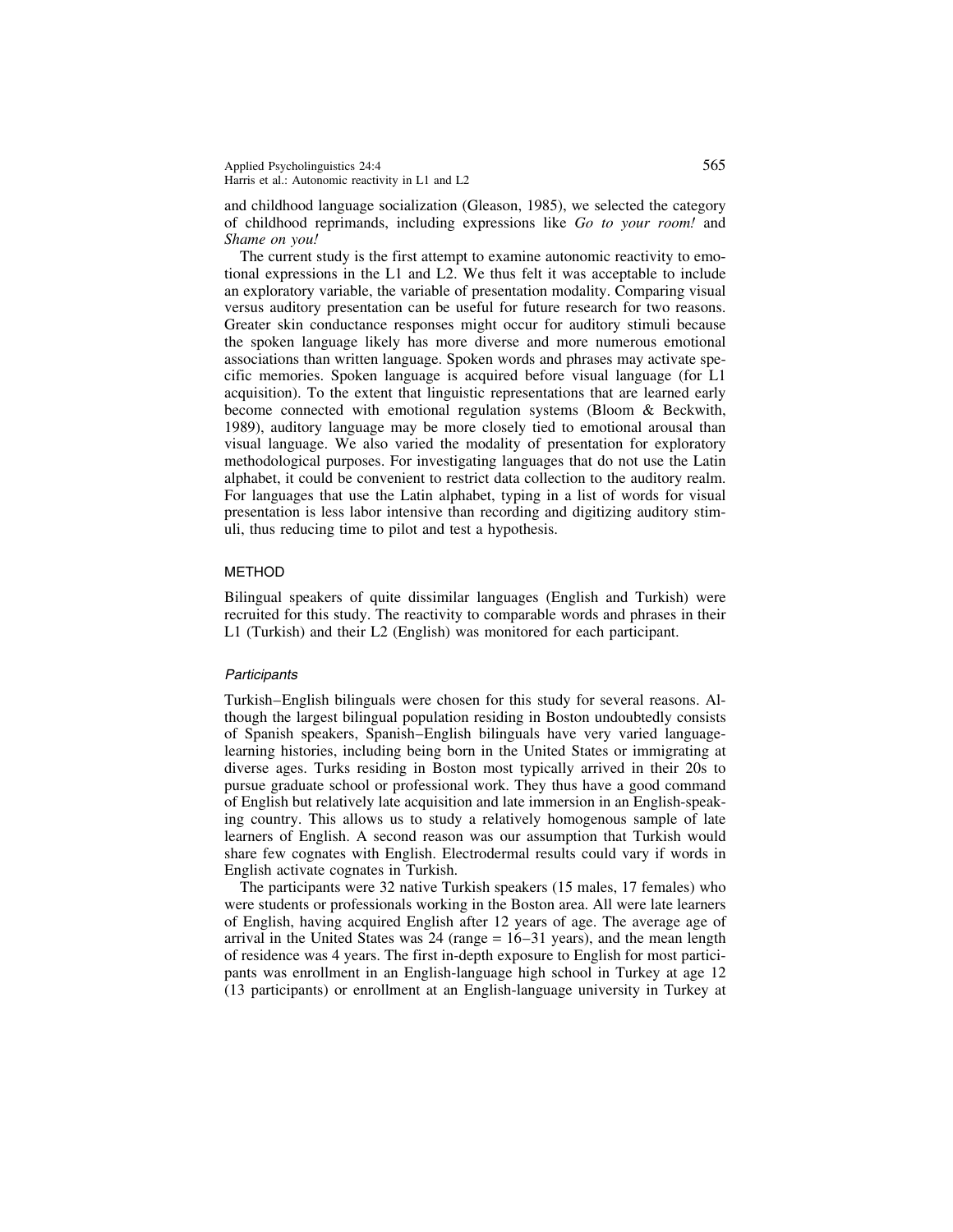and childhood language socialization (Gleason, 1985), we selected the category of childhood reprimands, including expressions like *Go to your room!* and *Shame on you!*

The current study is the first attempt to examine autonomic reactivity to emotional expressions in the L1 and L2. We thus felt it was acceptable to include an exploratory variable, the variable of presentation modality. Comparing visual versus auditory presentation can be useful for future research for two reasons. Greater skin conductance responses might occur for auditory stimuli because the spoken language likely has more diverse and more numerous emotional associations than written language. Spoken words and phrases may activate specific memories. Spoken language is acquired before visual language (for L1 acquisition). To the extent that linguistic representations that are learned early become connected with emotional regulation systems (Bloom & Beckwith, 1989), auditory language may be more closely tied to emotional arousal than visual language. We also varied the modality of presentation for exploratory methodological purposes. For investigating languages that do not use the Latin alphabet, it could be convenient to restrict data collection to the auditory realm. For languages that use the Latin alphabet, typing in a list of words for visual presentation is less labor intensive than recording and digitizing auditory stimuli, thus reducing time to pilot and test a hypothesis.

# METHOD

Bilingual speakers of quite dissimilar languages (English and Turkish) were recruited for this study. The reactivity to comparable words and phrases in their L1 (Turkish) and their L2 (English) was monitored for each participant.

#### *Participants*

Turkish–English bilinguals were chosen for this study for several reasons. Although the largest bilingual population residing in Boston undoubtedly consists of Spanish speakers, Spanish–English bilinguals have very varied languagelearning histories, including being born in the United States or immigrating at diverse ages. Turks residing in Boston most typically arrived in their 20s to pursue graduate school or professional work. They thus have a good command of English but relatively late acquisition and late immersion in an English-speaking country. This allows us to study a relatively homogenous sample of late learners of English. A second reason was our assumption that Turkish would share few cognates with English. Electrodermal results could vary if words in English activate cognates in Turkish.

The participants were 32 native Turkish speakers (15 males, 17 females) who were students or professionals working in the Boston area. All were late learners of English, having acquired English after 12 years of age. The average age of arrival in the United States was 24 (range = 16–31 years), and the mean length of residence was 4 years. The first in-depth exposure to English for most participants was enrollment in an English-language high school in Turkey at age 12 (13 participants) or enrollment at an English-language university in Turkey at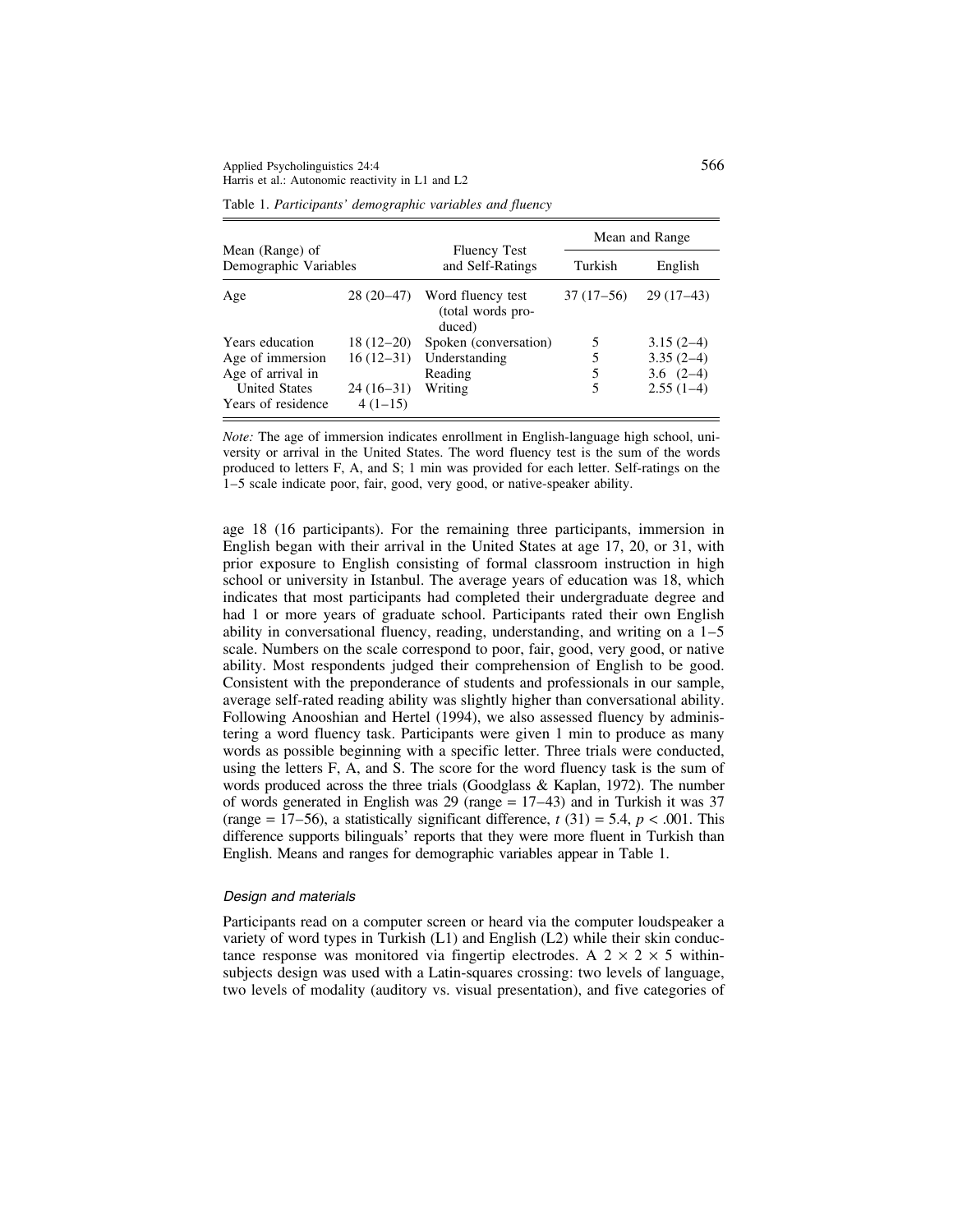| Mean (Range) of<br>Demographic Variables   |                          |                                                  | Mean and Range |             |
|--------------------------------------------|--------------------------|--------------------------------------------------|----------------|-------------|
|                                            |                          | <b>Fluency Test</b><br>and Self-Ratings          | Turkish        | English     |
| Age                                        | $28(20-47)$              | Word fluency test<br>(total words pro-<br>duced) | $37(17-56)$    | $29(17-43)$ |
| Years education                            | $18(12-20)$              | Spoken (conversation)                            | 5              | $3.15(2-4)$ |
| Age of immersion                           | $16(12-31)$              | Understanding                                    | 5              | $3.35(2-4)$ |
| Age of arrival in                          |                          | Reading                                          | 5              | 3.6 $(2-4)$ |
| <b>United States</b><br>Years of residence | $24(16-31)$<br>$4(1-15)$ | Writing                                          | 5              | $2.55(1-4)$ |

Table 1. *Participants' demographic variables and fluency*

*Note:* The age of immersion indicates enrollment in English-language high school, university or arrival in the United States. The word fluency test is the sum of the words produced to letters F, A, and S; 1 min was provided for each letter. Self-ratings on the 1–5 scale indicate poor, fair, good, very good, or native-speaker ability.

age 18 (16 participants). For the remaining three participants, immersion in English began with their arrival in the United States at age 17, 20, or 31, with prior exposure to English consisting of formal classroom instruction in high school or university in Istanbul. The average years of education was 18, which indicates that most participants had completed their undergraduate degree and had 1 or more years of graduate school. Participants rated their own English ability in conversational fluency, reading, understanding, and writing on a 1–5 scale. Numbers on the scale correspond to poor, fair, good, very good, or native ability. Most respondents judged their comprehension of English to be good. Consistent with the preponderance of students and professionals in our sample, average self-rated reading ability was slightly higher than conversational ability. Following Anooshian and Hertel (1994), we also assessed fluency by administering a word fluency task. Participants were given 1 min to produce as many words as possible beginning with a specific letter. Three trials were conducted, using the letters F, A, and S. The score for the word fluency task is the sum of words produced across the three trials (Goodglass & Kaplan, 1972). The number of words generated in English was 29 (range = 17–43) and in Turkish it was 37 (range = 17–56), a statistically significant difference,  $t(31) = 5.4$ ,  $p < .001$ . This difference supports bilinguals' reports that they were more fluent in Turkish than English. Means and ranges for demographic variables appear in Table 1.

# *Design and materials*

Participants read on a computer screen or heard via the computer loudspeaker a variety of word types in Turkish (L1) and English (L2) while their skin conductance response was monitored via fingertip electrodes. A  $2 \times 2 \times 5$  withinsubjects design was used with a Latin-squares crossing: two levels of language, two levels of modality (auditory vs. visual presentation), and five categories of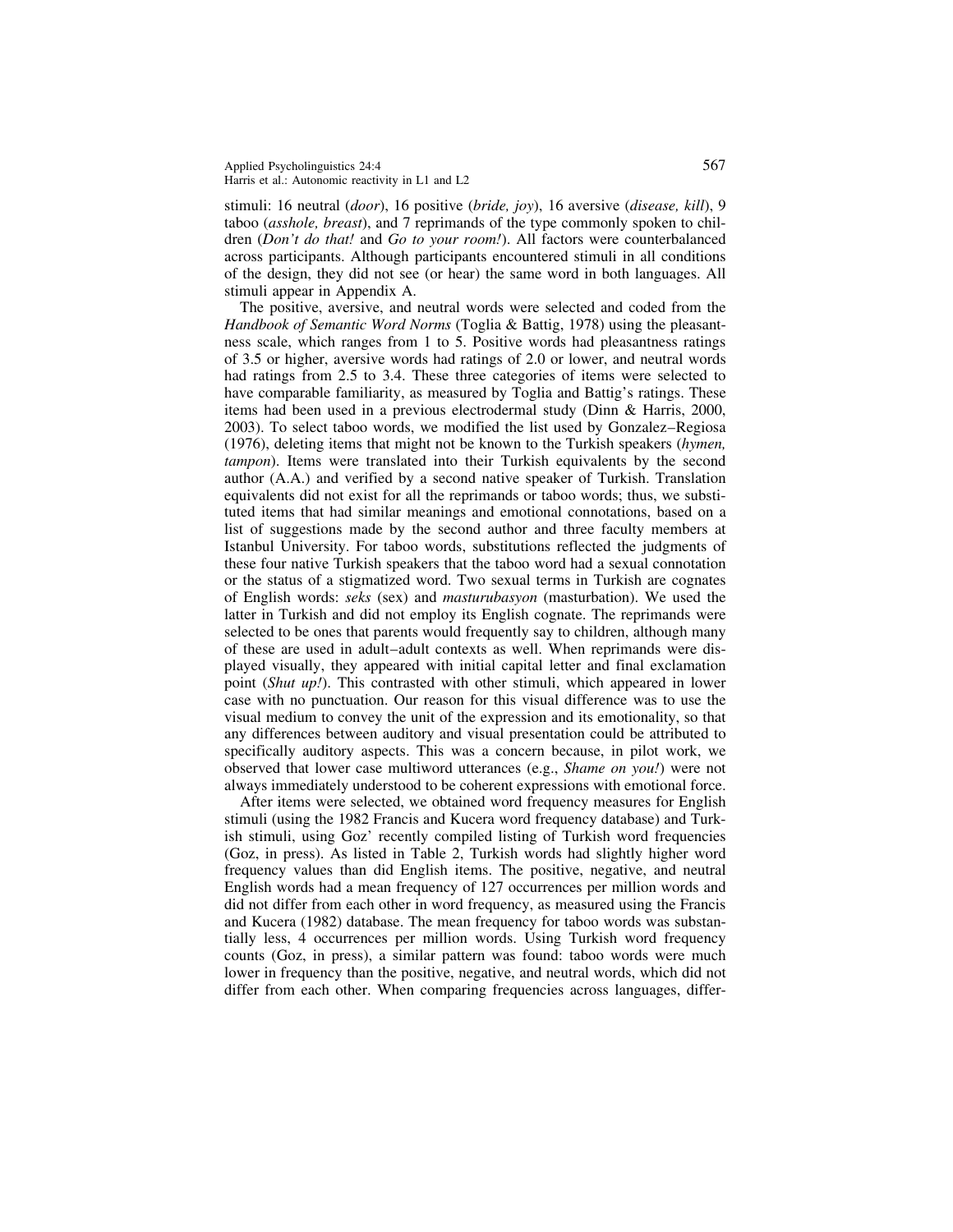#### Applied Psycholinguistics 24:4 567 Harris et al.: Autonomic reactivity in L1 and L2

stimuli: 16 neutral (*door*), 16 positive (*bride, joy*), 16 aversive (*disease, kill*), 9 taboo (*asshole, breast*), and 7 reprimands of the type commonly spoken to children (*Don't do that!* and *Go to your room!*). All factors were counterbalanced across participants. Although participants encountered stimuli in all conditions of the design, they did not see (or hear) the same word in both languages. All stimuli appear in Appendix A.

The positive, aversive, and neutral words were selected and coded from the *Handbook of Semantic Word Norms* (Toglia & Battig, 1978) using the pleasantness scale, which ranges from 1 to 5. Positive words had pleasantness ratings of 3.5 or higher, aversive words had ratings of 2.0 or lower, and neutral words had ratings from 2.5 to 3.4. These three categories of items were selected to have comparable familiarity, as measured by Toglia and Battig's ratings. These items had been used in a previous electrodermal study (Dinn & Harris, 2000, 2003). To select taboo words, we modified the list used by Gonzalez–Regiosa (1976), deleting items that might not be known to the Turkish speakers (*hymen, tampon*). Items were translated into their Turkish equivalents by the second author (A.A.) and verified by a second native speaker of Turkish. Translation equivalents did not exist for all the reprimands or taboo words; thus, we substituted items that had similar meanings and emotional connotations, based on a list of suggestions made by the second author and three faculty members at Istanbul University. For taboo words, substitutions reflected the judgments of these four native Turkish speakers that the taboo word had a sexual connotation or the status of a stigmatized word. Two sexual terms in Turkish are cognates of English words: *seks* (sex) and *masturubasyon* (masturbation). We used the latter in Turkish and did not employ its English cognate. The reprimands were selected to be ones that parents would frequently say to children, although many of these are used in adult–adult contexts as well. When reprimands were displayed visually, they appeared with initial capital letter and final exclamation point (*Shut up!*). This contrasted with other stimuli, which appeared in lower case with no punctuation. Our reason for this visual difference was to use the visual medium to convey the unit of the expression and its emotionality, so that any differences between auditory and visual presentation could be attributed to specifically auditory aspects. This was a concern because, in pilot work, we observed that lower case multiword utterances (e.g., *Shame on you!*) were not always immediately understood to be coherent expressions with emotional force.

After items were selected, we obtained word frequency measures for English stimuli (using the 1982 Francis and Kucera word frequency database) and Turkish stimuli, using Goz' recently compiled listing of Turkish word frequencies (Goz, in press). As listed in Table 2, Turkish words had slightly higher word frequency values than did English items. The positive, negative, and neutral English words had a mean frequency of 127 occurrences per million words and did not differ from each other in word frequency, as measured using the Francis and Kucera (1982) database. The mean frequency for taboo words was substantially less, 4 occurrences per million words. Using Turkish word frequency counts (Goz, in press), a similar pattern was found: taboo words were much lower in frequency than the positive, negative, and neutral words, which did not differ from each other. When comparing frequencies across languages, differ-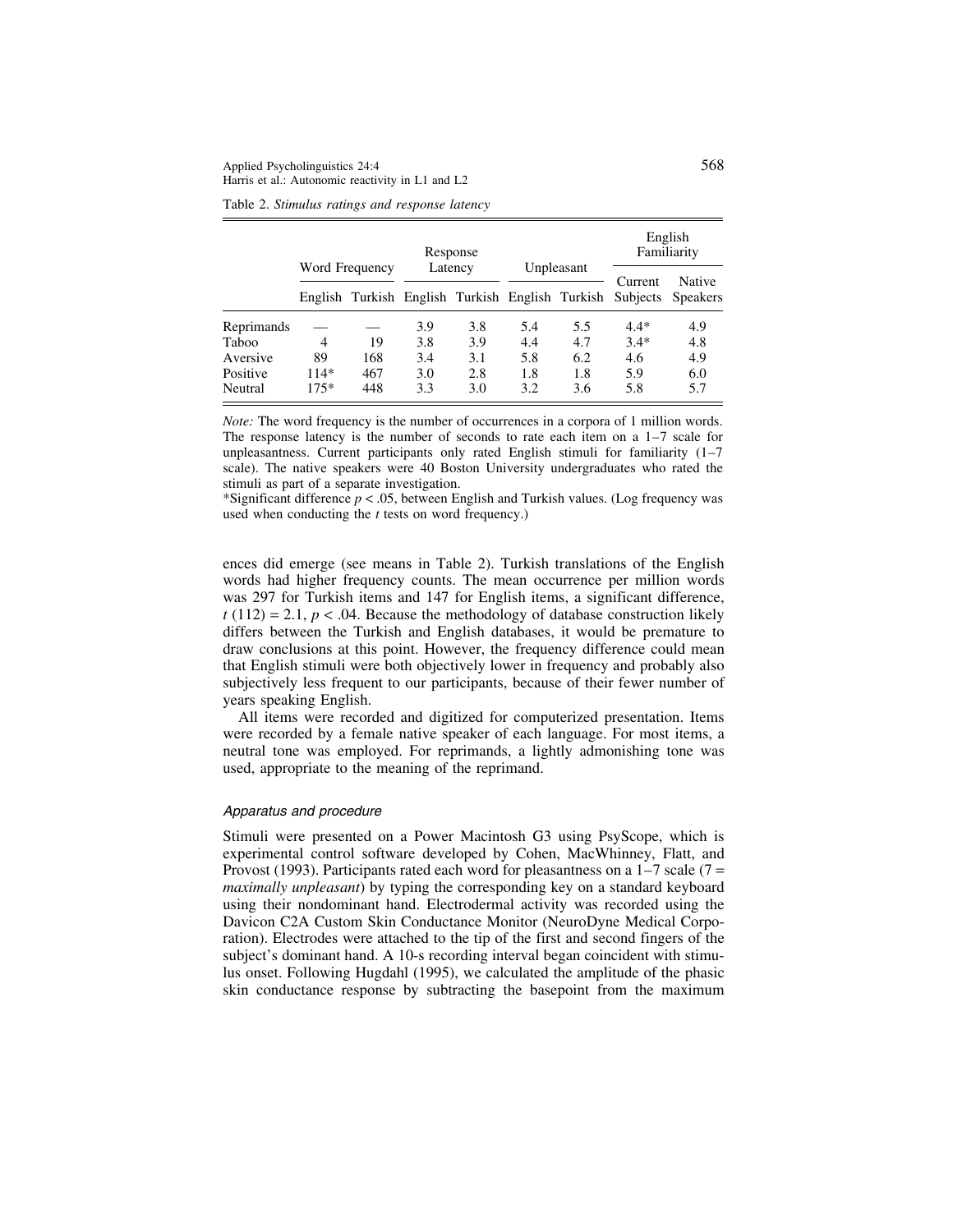|            | Word Frequency |     | Response<br>Latency |     | Unpleasant |                                                 | English<br>Familiarity |                           |
|------------|----------------|-----|---------------------|-----|------------|-------------------------------------------------|------------------------|---------------------------|
|            |                |     |                     |     |            | English Turkish English Turkish English Turkish | Current<br>Subjects    | Native<br><b>Speakers</b> |
| Reprimands |                |     | 3.9                 | 3.8 | 5.4        | 5.5                                             | $4.4*$                 | 4.9                       |
| Taboo      | 4              | 19  | 3.8                 | 3.9 | 4.4        | 4.7                                             | $3.4*$                 | 4.8                       |
| Aversive   | 89             | 168 | 3.4                 | 3.1 | 5.8        | 6.2                                             | 4.6                    | 4.9                       |
| Positive   | $114*$         | 467 | 3.0                 | 2.8 | 1.8        | 1.8                                             | 5.9                    | 6.0                       |
| Neutral    | $175*$         | 448 | 3.3                 | 3.0 | 3.2        | 3.6                                             | 5.8                    | 5.7                       |

Table 2. *Stimulus ratings and response latency*

*Note:* The word frequency is the number of occurrences in a corpora of 1 million words. The response latency is the number of seconds to rate each item on a 1–7 scale for unpleasantness. Current participants only rated English stimuli for familiarity (1–7 scale). The native speakers were 40 Boston University undergraduates who rated the stimuli as part of a separate investigation.

\*Significant difference  $p < .05$ , between English and Turkish values. (Log frequency was used when conducting the *t* tests on word frequency.)

ences did emerge (see means in Table 2). Turkish translations of the English words had higher frequency counts. The mean occurrence per million words was 297 for Turkish items and 147 for English items, a significant difference,  $t(112) = 2.1, p < .04$ . Because the methodology of database construction likely differs between the Turkish and English databases, it would be premature to draw conclusions at this point. However, the frequency difference could mean that English stimuli were both objectively lower in frequency and probably also subjectively less frequent to our participants, because of their fewer number of years speaking English.

All items were recorded and digitized for computerized presentation. Items were recorded by a female native speaker of each language. For most items, a neutral tone was employed. For reprimands, a lightly admonishing tone was used, appropriate to the meaning of the reprimand.

# *Apparatus and procedure*

Stimuli were presented on a Power Macintosh G3 using PsyScope, which is experimental control software developed by Cohen, MacWhinney, Flatt, and Provost (1993). Participants rated each word for pleasantness on a  $1-7$  scale (7 = *maximally unpleasant*) by typing the corresponding key on a standard keyboard using their nondominant hand. Electrodermal activity was recorded using the Davicon C2A Custom Skin Conductance Monitor (NeuroDyne Medical Corporation). Electrodes were attached to the tip of the first and second fingers of the subject's dominant hand. A 10-s recording interval began coincident with stimulus onset. Following Hugdahl (1995), we calculated the amplitude of the phasic skin conductance response by subtracting the basepoint from the maximum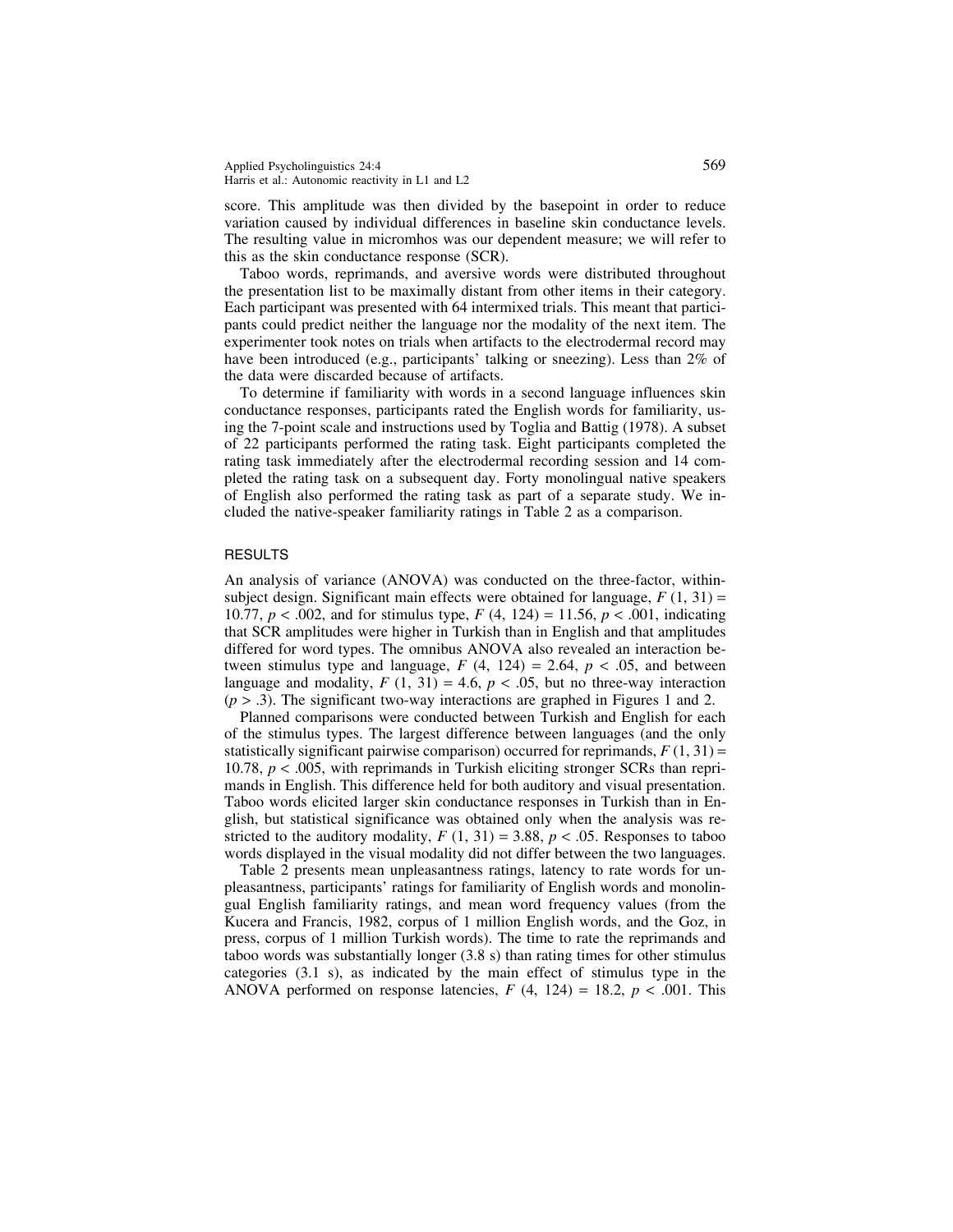score. This amplitude was then divided by the basepoint in order to reduce variation caused by individual differences in baseline skin conductance levels. The resulting value in micromhos was our dependent measure; we will refer to this as the skin conductance response (SCR).

Taboo words, reprimands, and aversive words were distributed throughout the presentation list to be maximally distant from other items in their category. Each participant was presented with 64 intermixed trials. This meant that participants could predict neither the language nor the modality of the next item. The experimenter took notes on trials when artifacts to the electrodermal record may have been introduced (e.g., participants' talking or sneezing). Less than 2% of the data were discarded because of artifacts.

To determine if familiarity with words in a second language influences skin conductance responses, participants rated the English words for familiarity, using the 7-point scale and instructions used by Toglia and Battig (1978). A subset of 22 participants performed the rating task. Eight participants completed the rating task immediately after the electrodermal recording session and 14 completed the rating task on a subsequent day. Forty monolingual native speakers of English also performed the rating task as part of a separate study. We included the native-speaker familiarity ratings in Table 2 as a comparison.

## RESULTS

An analysis of variance (ANOVA) was conducted on the three-factor, withinsubject design. Significant main effects were obtained for language,  $F(1, 31) =$ 10.77, *p* < .002, and for stimulus type, *F* (4, 124) = 11.56, *p* < .001, indicating that SCR amplitudes were higher in Turkish than in English and that amplitudes differed for word types. The omnibus ANOVA also revealed an interaction between stimulus type and language,  $F(4, 124) = 2.64$ ,  $p < .05$ , and between language and modality,  $F(1, 31) = 4.6$ ,  $p < .05$ , but no three-way interaction  $(p > .3)$ . The significant two-way interactions are graphed in Figures 1 and 2.

Planned comparisons were conducted between Turkish and English for each of the stimulus types. The largest difference between languages (and the only statistically significant pairwise comparison) occurred for reprimands,  $F(1, 31) =$ 10.78,  $p < .005$ , with reprimands in Turkish eliciting stronger SCRs than reprimands in English. This difference held for both auditory and visual presentation. Taboo words elicited larger skin conductance responses in Turkish than in English, but statistical significance was obtained only when the analysis was restricted to the auditory modality,  $F(1, 31) = 3.88$ ,  $p < .05$ . Responses to taboo words displayed in the visual modality did not differ between the two languages.

Table 2 presents mean unpleasantness ratings, latency to rate words for unpleasantness, participants' ratings for familiarity of English words and monolingual English familiarity ratings, and mean word frequency values (from the Kucera and Francis, 1982, corpus of 1 million English words, and the Goz, in press, corpus of 1 million Turkish words). The time to rate the reprimands and taboo words was substantially longer (3.8 s) than rating times for other stimulus categories (3.1 s), as indicated by the main effect of stimulus type in the ANOVA performed on response latencies,  $F(4, 124) = 18.2$ ,  $p < .001$ . This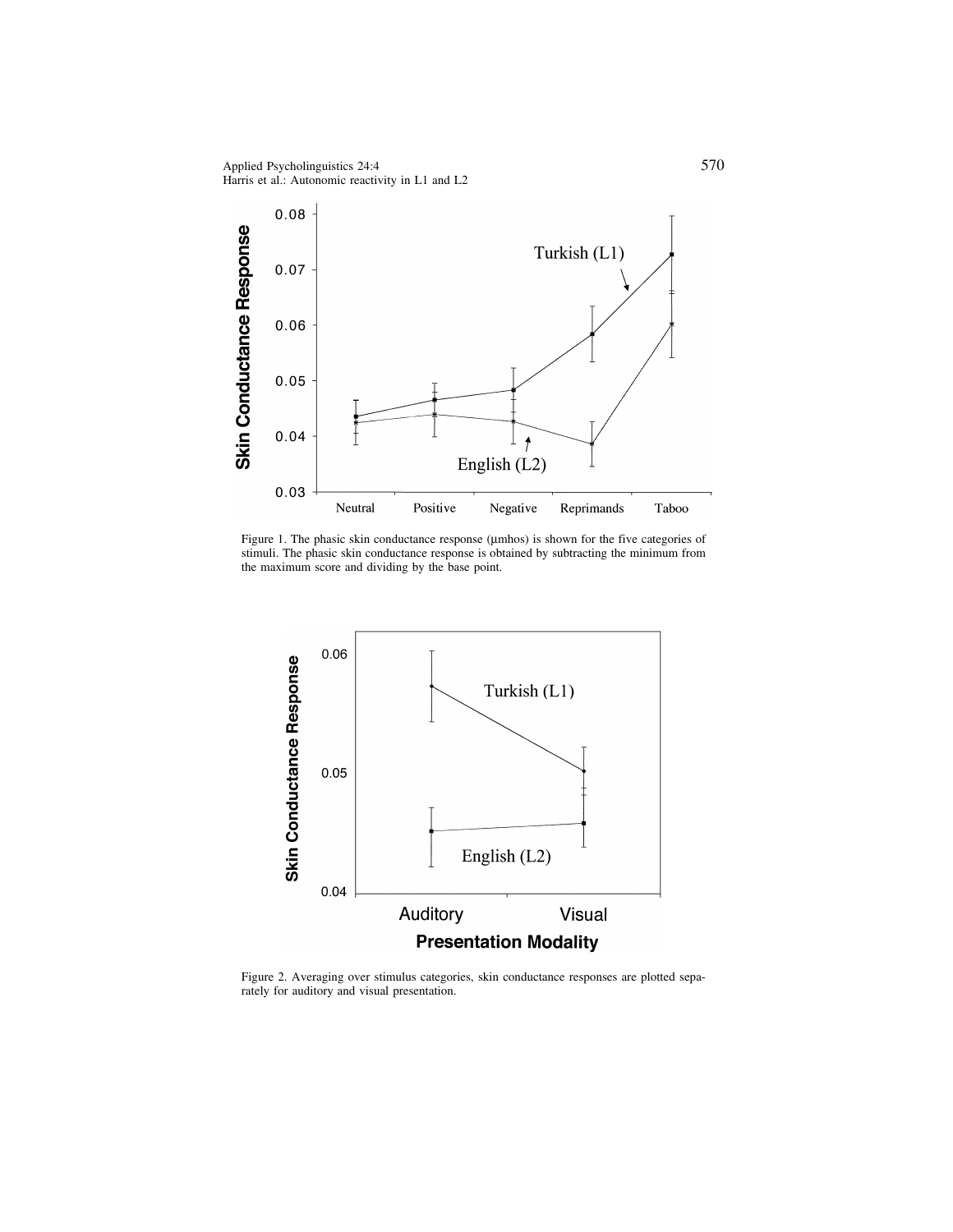Applied Psycholinguistics 24:4 570 Harris et al.: Autonomic reactivity in L1 and L2



Figure 1. The phasic skin conductance response (µmhos) is shown for the five categories of stimuli. The phasic skin conductance response is obtained by subtracting the minimum from the maximum score and dividing by the base point.



Figure 2. Averaging over stimulus categories, skin conductance responses are plotted separately for auditory and visual presentation.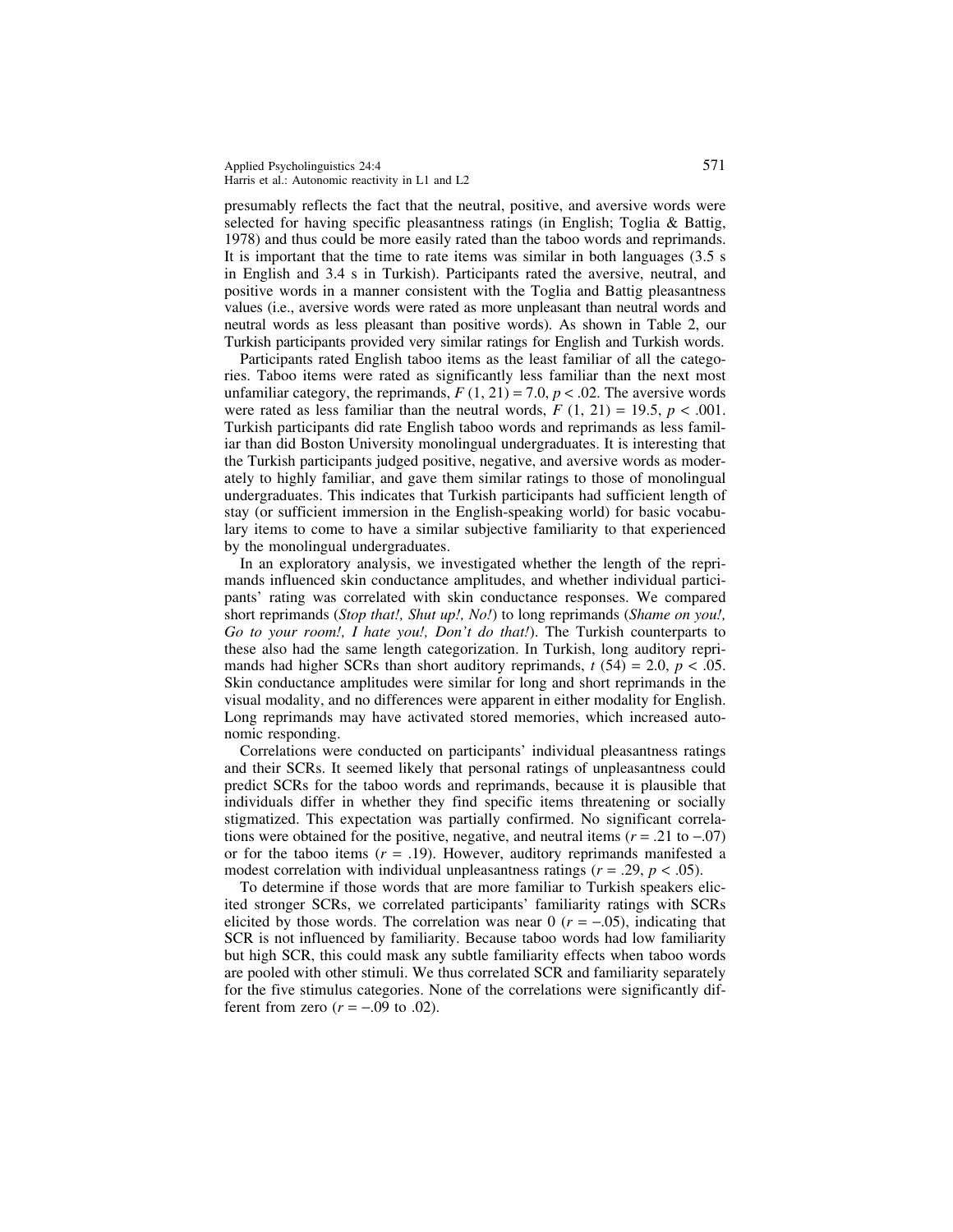presumably reflects the fact that the neutral, positive, and aversive words were selected for having specific pleasantness ratings (in English; Toglia & Battig, 1978) and thus could be more easily rated than the taboo words and reprimands. It is important that the time to rate items was similar in both languages (3.5 s in English and 3.4 s in Turkish). Participants rated the aversive, neutral, and positive words in a manner consistent with the Toglia and Battig pleasantness values (i.e., aversive words were rated as more unpleasant than neutral words and neutral words as less pleasant than positive words). As shown in Table 2, our Turkish participants provided very similar ratings for English and Turkish words.

Participants rated English taboo items as the least familiar of all the categories. Taboo items were rated as significantly less familiar than the next most unfamiliar category, the reprimands,  $F(1, 21) = 7.0$ ,  $p < .02$ . The aversive words were rated as less familiar than the neutral words,  $F(1, 21) = 19.5, p < .001$ . Turkish participants did rate English taboo words and reprimands as less familiar than did Boston University monolingual undergraduates. It is interesting that the Turkish participants judged positive, negative, and aversive words as moderately to highly familiar, and gave them similar ratings to those of monolingual undergraduates. This indicates that Turkish participants had sufficient length of stay (or sufficient immersion in the English-speaking world) for basic vocabulary items to come to have a similar subjective familiarity to that experienced by the monolingual undergraduates.

In an exploratory analysis, we investigated whether the length of the reprimands influenced skin conductance amplitudes, and whether individual participants' rating was correlated with skin conductance responses. We compared short reprimands (*Stop that!, Shut up!, No!*) to long reprimands (*Shame on you!, Go to your room!, I hate you!, Don't do that!*). The Turkish counterparts to these also had the same length categorization. In Turkish, long auditory reprimands had higher SCRs than short auditory reprimands,  $t(54) = 2.0$ ,  $p < .05$ . Skin conductance amplitudes were similar for long and short reprimands in the visual modality, and no differences were apparent in either modality for English. Long reprimands may have activated stored memories, which increased autonomic responding.

Correlations were conducted on participants' individual pleasantness ratings and their SCRs. It seemed likely that personal ratings of unpleasantness could predict SCRs for the taboo words and reprimands, because it is plausible that individuals differ in whether they find specific items threatening or socially stigmatized. This expectation was partially confirmed. No significant correlations were obtained for the positive, negative, and neutral items ( $r = .21$  to  $-.07$ ) or for the taboo items  $(r = .19)$ . However, auditory reprimands manifested a modest correlation with individual unpleasantness ratings ( $r = .29$ ,  $p < .05$ ).

To determine if those words that are more familiar to Turkish speakers elicited stronger SCRs, we correlated participants' familiarity ratings with SCRs elicited by those words. The correlation was near 0 ( $r = -.05$ ), indicating that SCR is not influenced by familiarity. Because taboo words had low familiarity but high SCR, this could mask any subtle familiarity effects when taboo words are pooled with other stimuli. We thus correlated SCR and familiarity separately for the five stimulus categories. None of the correlations were significantly different from zero  $(r = -.09$  to  $.02$ ).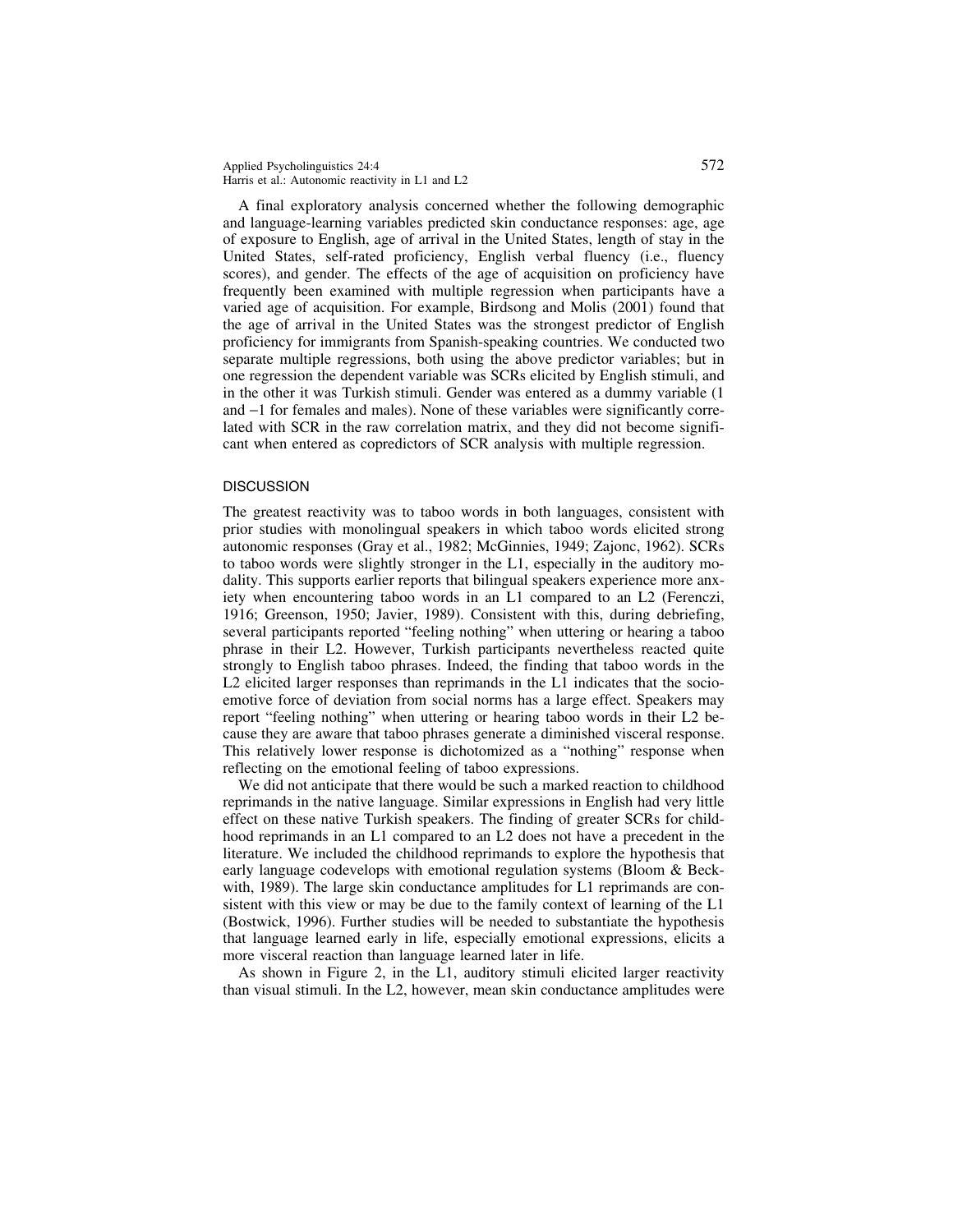### Applied Psycholinguistics 24:4 572 Harris et al.: Autonomic reactivity in L1 and L2

A final exploratory analysis concerned whether the following demographic and language-learning variables predicted skin conductance responses: age, age of exposure to English, age of arrival in the United States, length of stay in the United States, self-rated proficiency, English verbal fluency (i.e., fluency scores), and gender. The effects of the age of acquisition on proficiency have frequently been examined with multiple regression when participants have a varied age of acquisition. For example, Birdsong and Molis (2001) found that the age of arrival in the United States was the strongest predictor of English proficiency for immigrants from Spanish-speaking countries. We conducted two separate multiple regressions, both using the above predictor variables; but in one regression the dependent variable was SCRs elicited by English stimuli, and in the other it was Turkish stimuli. Gender was entered as a dummy variable (1 and −1 for females and males). None of these variables were significantly correlated with SCR in the raw correlation matrix, and they did not become significant when entered as copredictors of SCR analysis with multiple regression.

## DISCUSSION

The greatest reactivity was to taboo words in both languages, consistent with prior studies with monolingual speakers in which taboo words elicited strong autonomic responses (Gray et al., 1982; McGinnies, 1949; Zajonc, 1962). SCRs to taboo words were slightly stronger in the L1, especially in the auditory modality. This supports earlier reports that bilingual speakers experience more anxiety when encountering taboo words in an L1 compared to an L2 (Ferenczi, 1916; Greenson, 1950; Javier, 1989). Consistent with this, during debriefing, several participants reported "feeling nothing" when uttering or hearing a taboo phrase in their L2. However, Turkish participants nevertheless reacted quite strongly to English taboo phrases. Indeed, the finding that taboo words in the  $L2$  elicited larger responses than reprimands in the  $L1$  indicates that the socioemotive force of deviation from social norms has a large effect. Speakers may report "feeling nothing" when uttering or hearing taboo words in their L2 because they are aware that taboo phrases generate a diminished visceral response. This relatively lower response is dichotomized as a "nothing" response when reflecting on the emotional feeling of taboo expressions.

We did not anticipate that there would be such a marked reaction to childhood reprimands in the native language. Similar expressions in English had very little effect on these native Turkish speakers. The finding of greater SCRs for childhood reprimands in an L1 compared to an L2 does not have a precedent in the literature. We included the childhood reprimands to explore the hypothesis that early language codevelops with emotional regulation systems (Bloom & Beckwith, 1989). The large skin conductance amplitudes for L1 reprimands are consistent with this view or may be due to the family context of learning of the L1 (Bostwick, 1996). Further studies will be needed to substantiate the hypothesis that language learned early in life, especially emotional expressions, elicits a more visceral reaction than language learned later in life.

As shown in Figure 2, in the L1, auditory stimuli elicited larger reactivity than visual stimuli. In the L2, however, mean skin conductance amplitudes were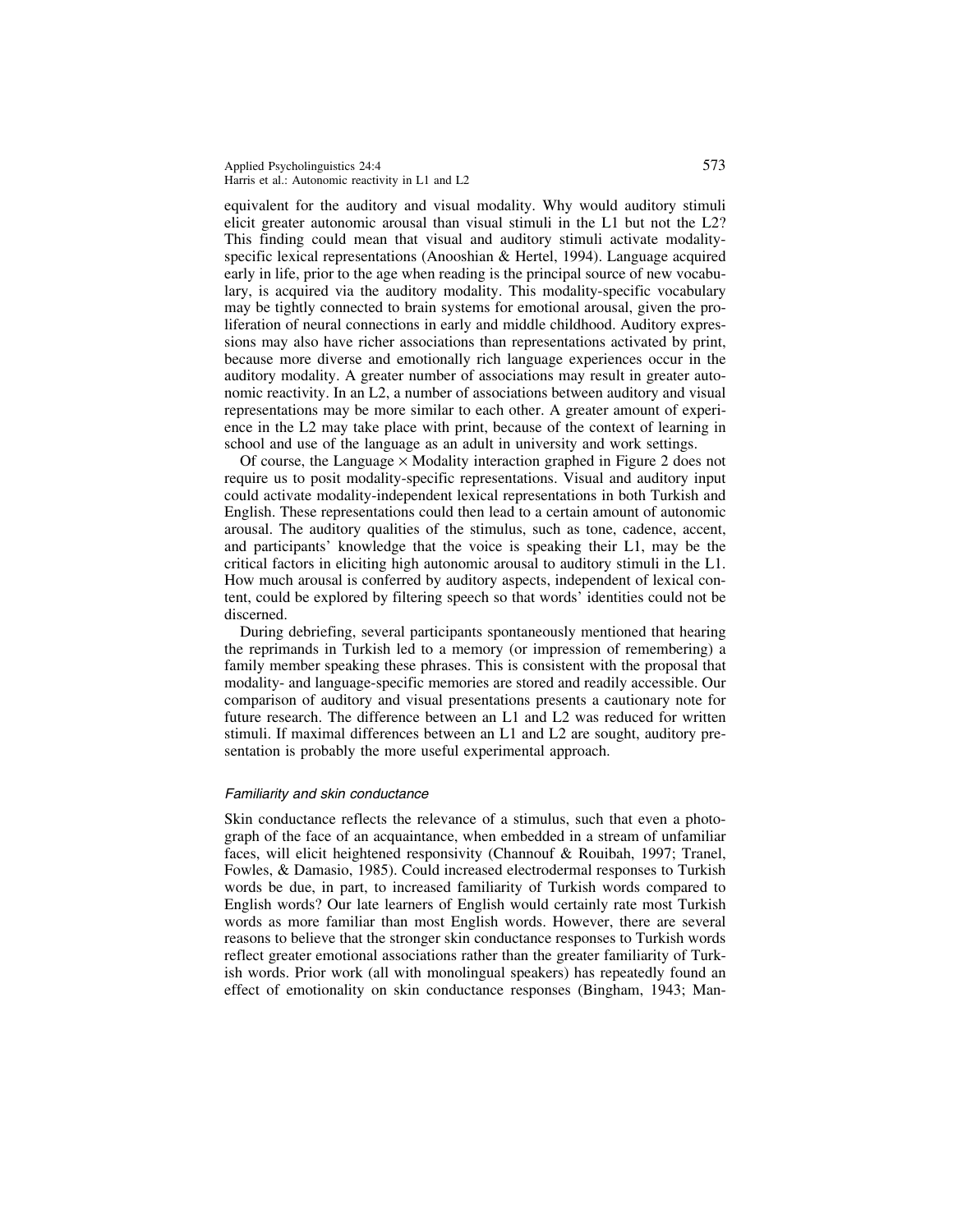#### Applied Psycholinguistics 24:4 573 Harris et al.: Autonomic reactivity in L1 and L2

equivalent for the auditory and visual modality. Why would auditory stimuli elicit greater autonomic arousal than visual stimuli in the L1 but not the L2? This finding could mean that visual and auditory stimuli activate modalityspecific lexical representations (Anooshian & Hertel, 1994). Language acquired early in life, prior to the age when reading is the principal source of new vocabulary, is acquired via the auditory modality. This modality-specific vocabulary may be tightly connected to brain systems for emotional arousal, given the proliferation of neural connections in early and middle childhood. Auditory expressions may also have richer associations than representations activated by print, because more diverse and emotionally rich language experiences occur in the auditory modality. A greater number of associations may result in greater autonomic reactivity. In an L2, a number of associations between auditory and visual representations may be more similar to each other. A greater amount of experience in the L2 may take place with print, because of the context of learning in school and use of the language as an adult in university and work settings.

Of course, the Language  $\times$  Modality interaction graphed in Figure 2 does not require us to posit modality-specific representations. Visual and auditory input could activate modality-independent lexical representations in both Turkish and English. These representations could then lead to a certain amount of autonomic arousal. The auditory qualities of the stimulus, such as tone, cadence, accent, and participants' knowledge that the voice is speaking their L1, may be the critical factors in eliciting high autonomic arousal to auditory stimuli in the L1. How much arousal is conferred by auditory aspects, independent of lexical content, could be explored by filtering speech so that words' identities could not be discerned.

During debriefing, several participants spontaneously mentioned that hearing the reprimands in Turkish led to a memory (or impression of remembering) a family member speaking these phrases. This is consistent with the proposal that modality- and language-specific memories are stored and readily accessible. Our comparison of auditory and visual presentations presents a cautionary note for future research. The difference between an L1 and L2 was reduced for written stimuli. If maximal differences between an L1 and L2 are sought, auditory presentation is probably the more useful experimental approach.

## *Familiarity and skin conductance*

Skin conductance reflects the relevance of a stimulus, such that even a photograph of the face of an acquaintance, when embedded in a stream of unfamiliar faces, will elicit heightened responsivity (Channouf & Rouibah, 1997; Tranel, Fowles, & Damasio, 1985). Could increased electrodermal responses to Turkish words be due, in part, to increased familiarity of Turkish words compared to English words? Our late learners of English would certainly rate most Turkish words as more familiar than most English words. However, there are several reasons to believe that the stronger skin conductance responses to Turkish words reflect greater emotional associations rather than the greater familiarity of Turkish words. Prior work (all with monolingual speakers) has repeatedly found an effect of emotionality on skin conductance responses (Bingham, 1943; Man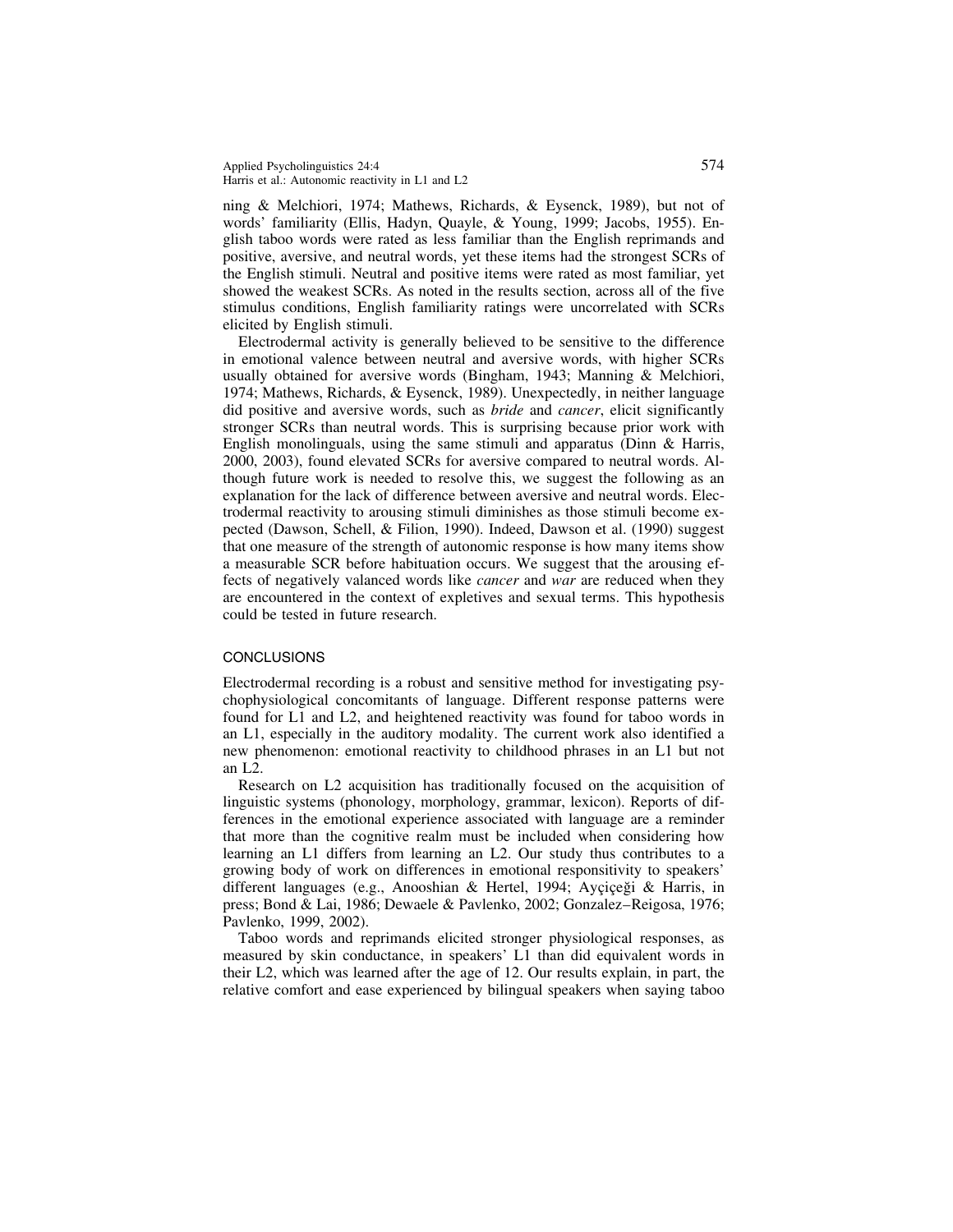ning & Melchiori, 1974; Mathews, Richards, & Eysenck, 1989), but not of words' familiarity (Ellis, Hadyn, Quayle, & Young, 1999; Jacobs, 1955). English taboo words were rated as less familiar than the English reprimands and positive, aversive, and neutral words, yet these items had the strongest SCRs of the English stimuli. Neutral and positive items were rated as most familiar, yet showed the weakest SCRs. As noted in the results section, across all of the five stimulus conditions, English familiarity ratings were uncorrelated with SCRs elicited by English stimuli.

Electrodermal activity is generally believed to be sensitive to the difference in emotional valence between neutral and aversive words, with higher SCRs usually obtained for aversive words (Bingham, 1943; Manning & Melchiori, 1974; Mathews, Richards, & Eysenck, 1989). Unexpectedly, in neither language did positive and aversive words, such as *bride* and *cancer*, elicit significantly stronger SCRs than neutral words. This is surprising because prior work with English monolinguals, using the same stimuli and apparatus (Dinn & Harris, 2000, 2003), found elevated SCRs for aversive compared to neutral words. Although future work is needed to resolve this, we suggest the following as an explanation for the lack of difference between aversive and neutral words. Electrodermal reactivity to arousing stimuli diminishes as those stimuli become expected (Dawson, Schell, & Filion, 1990). Indeed, Dawson et al. (1990) suggest that one measure of the strength of autonomic response is how many items show a measurable SCR before habituation occurs. We suggest that the arousing effects of negatively valanced words like *cancer* and *war* are reduced when they are encountered in the context of expletives and sexual terms. This hypothesis could be tested in future research.

# CONCLUSIONS

Electrodermal recording is a robust and sensitive method for investigating psychophysiological concomitants of language. Different response patterns were found for L1 and L2, and heightened reactivity was found for taboo words in an L1, especially in the auditory modality. The current work also identified a new phenomenon: emotional reactivity to childhood phrases in an L1 but not an L2.

Research on L2 acquisition has traditionally focused on the acquisition of linguistic systems (phonology, morphology, grammar, lexicon). Reports of differences in the emotional experience associated with language are a reminder that more than the cognitive realm must be included when considering how learning an L1 differs from learning an L2. Our study thus contributes to a growing body of work on differences in emotional responsitivity to speakers' different languages (e.g., Anooshian & Hertel, 1994; Ayçiçeği & Harris, in press; Bond & Lai, 1986; Dewaele & Pavlenko, 2002; Gonzalez–Reigosa, 1976; Pavlenko, 1999, 2002).

Taboo words and reprimands elicited stronger physiological responses, as measured by skin conductance, in speakers' L1 than did equivalent words in their L2, which was learned after the age of 12. Our results explain, in part, the relative comfort and ease experienced by bilingual speakers when saying taboo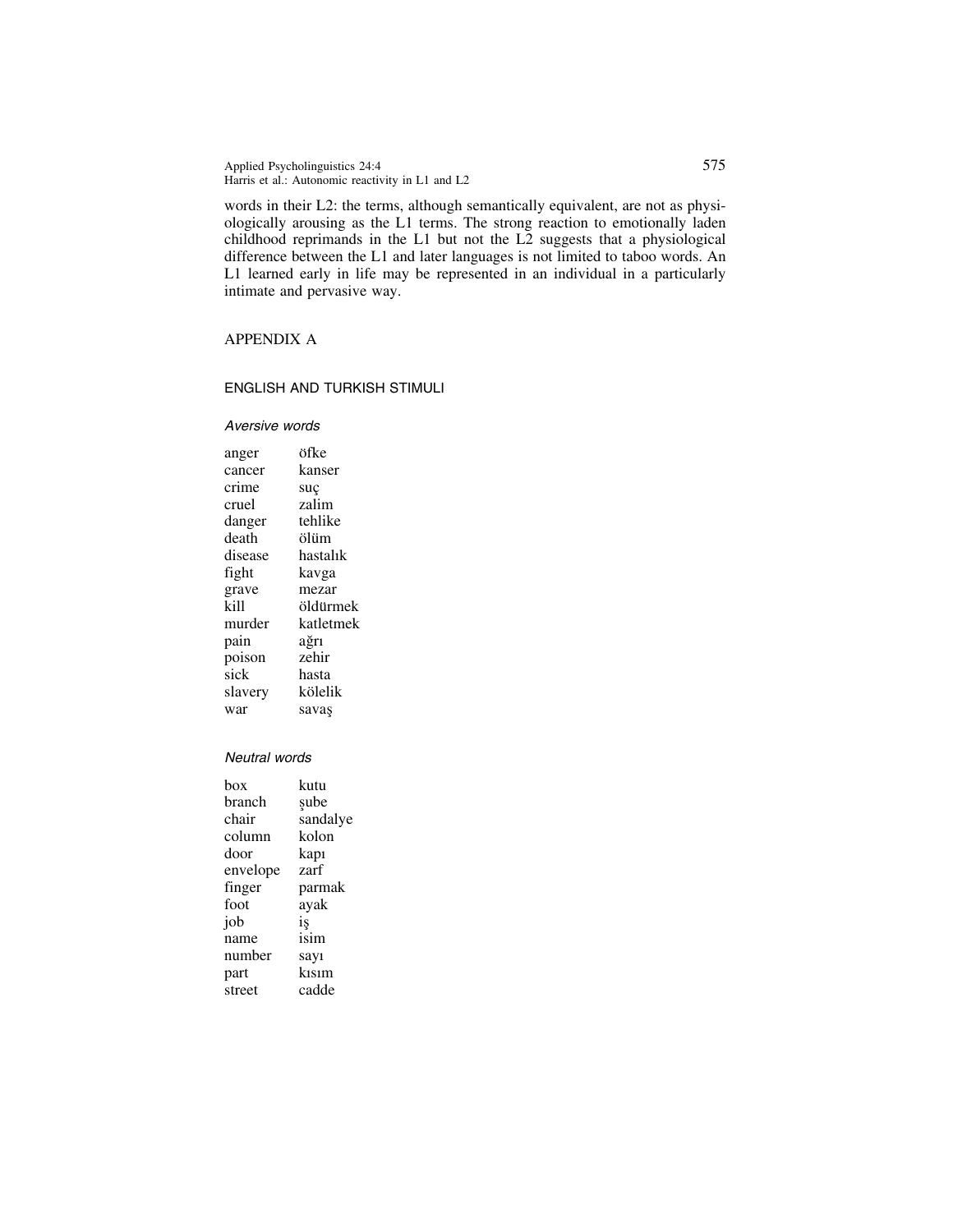Applied Psycholinguistics 24:4 575 Harris et al.: Autonomic reactivity in L1 and L2

words in their L2: the terms, although semantically equivalent, are not as physiologically arousing as the L1 terms. The strong reaction to emotionally laden childhood reprimands in the L1 but not the L2 suggests that a physiological difference between the L1 and later languages is not limited to taboo words. An L1 learned early in life may be represented in an individual in a particularly intimate and pervasive way.

# APPENDIX A

# ENGLISH AND TURKISH STIMULI

# *Aversive words*

| anger   | öfke      |
|---------|-----------|
| cancer  | kanser    |
| crime   | suç       |
| cruel   | zalim     |
| danger  | tehlike   |
| death   | ölüm      |
| disease | hastalık  |
| fight   | kavga     |
| grave   | mezar     |
|         | öldürmek  |
| kill    |           |
| murder  | katletmek |
| pain    | ağrı      |
| poison  | zehir     |
| sick    | hasta     |
| slavery | kölelik   |
| war     | savaş     |

## *Neutral words*

| box      | kutu     |
|----------|----------|
| branch   | şube     |
| chair    | sandalye |
| column   | kolon    |
| door     | kapı     |
| envelope | zarf     |
| finger   | parmak   |
| foot     | ayak     |
| job      | is       |
| name     | isim     |
| number   | sayı     |
| part     | kısım    |
| street   | cadde    |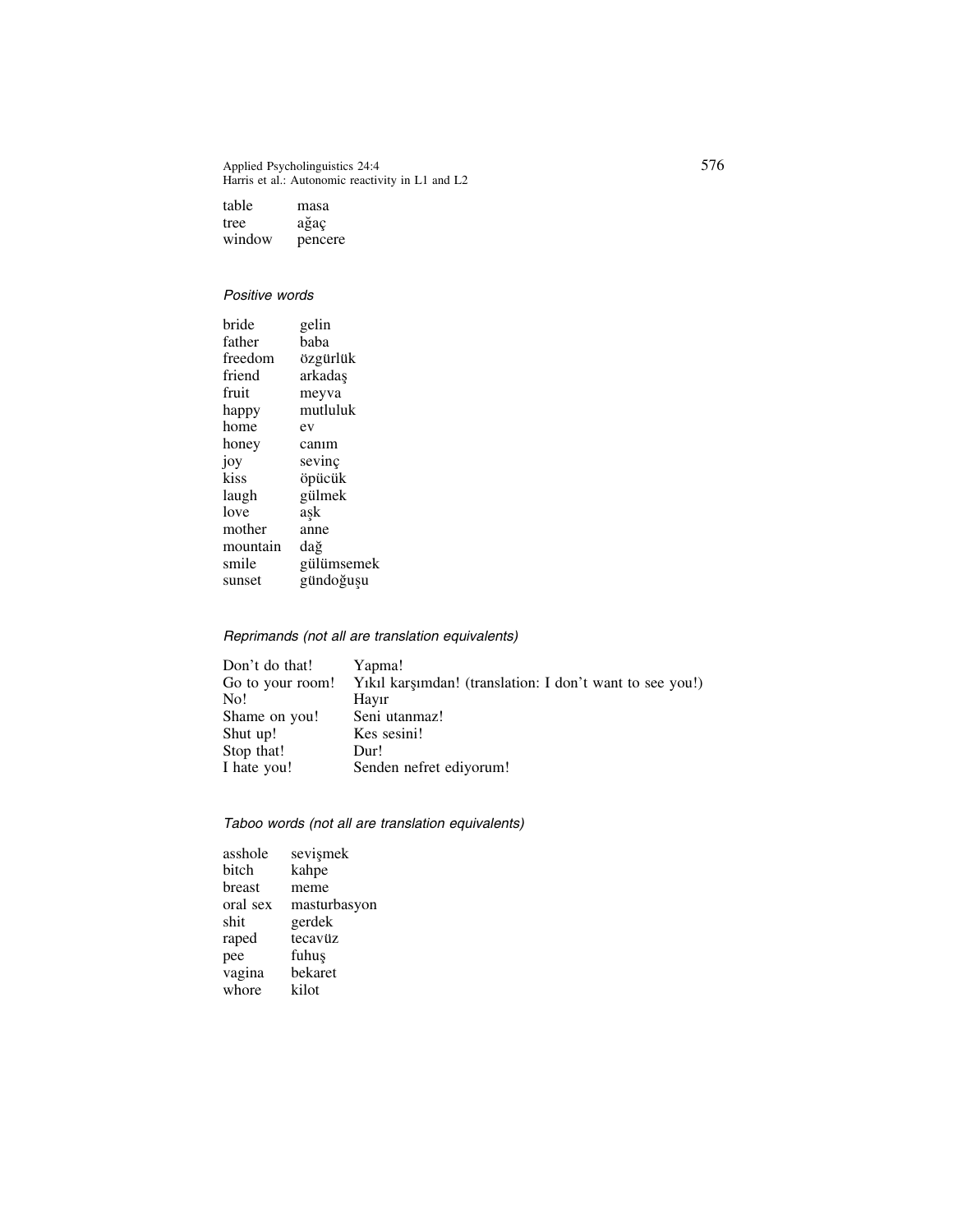Applied Psycholinguistics 24:4 576 Harris et al.: Autonomic reactivity in L1 and L2

table masa<br>tree ağaç tree ağaç<br>
window pence pencere

# *Positive words*

| bride    | gelin      |
|----------|------------|
| father   | baba       |
| freedom  | özgürlük   |
| friend   | arkadas    |
| fruit    | meyva      |
| happy    | mutluluk   |
| home     | ev         |
| honey    | canim      |
| joy      | sevinç     |
| kiss     | öpücük     |
| laugh    | gülmek     |
| love     | ask        |
| mother   | anne       |
| mountain | dağ        |
| smile    | gülümsemek |
| sunset   | gündoğuşu  |

# *Reprimands (not all are translation equivalents)*

| Don't do that!   | Yapma!                                                   |
|------------------|----------------------------------------------------------|
| Go to your room! | Yikil karşımdan! (translation: I don't want to see you!) |
| No!              | Hayir                                                    |
| Shame on you!    | Seni utanmaz!                                            |
| Shut up!         | Kes sesini!                                              |
| Stop that!       | Dur!                                                     |
| I hate you!      | Senden nefret ediyorum!                                  |

# *Taboo words (not all are translation equivalents)*

| asshole  | sevişmek     |
|----------|--------------|
| bitch    | kahpe        |
| breast   | meme         |
| oral sex | masturbasyon |
| shit     | gerdek       |
| raped    | tecavüz      |
| pee      | fuhuş        |
| vagina   | bekaret      |
| whore    | kilot        |
|          |              |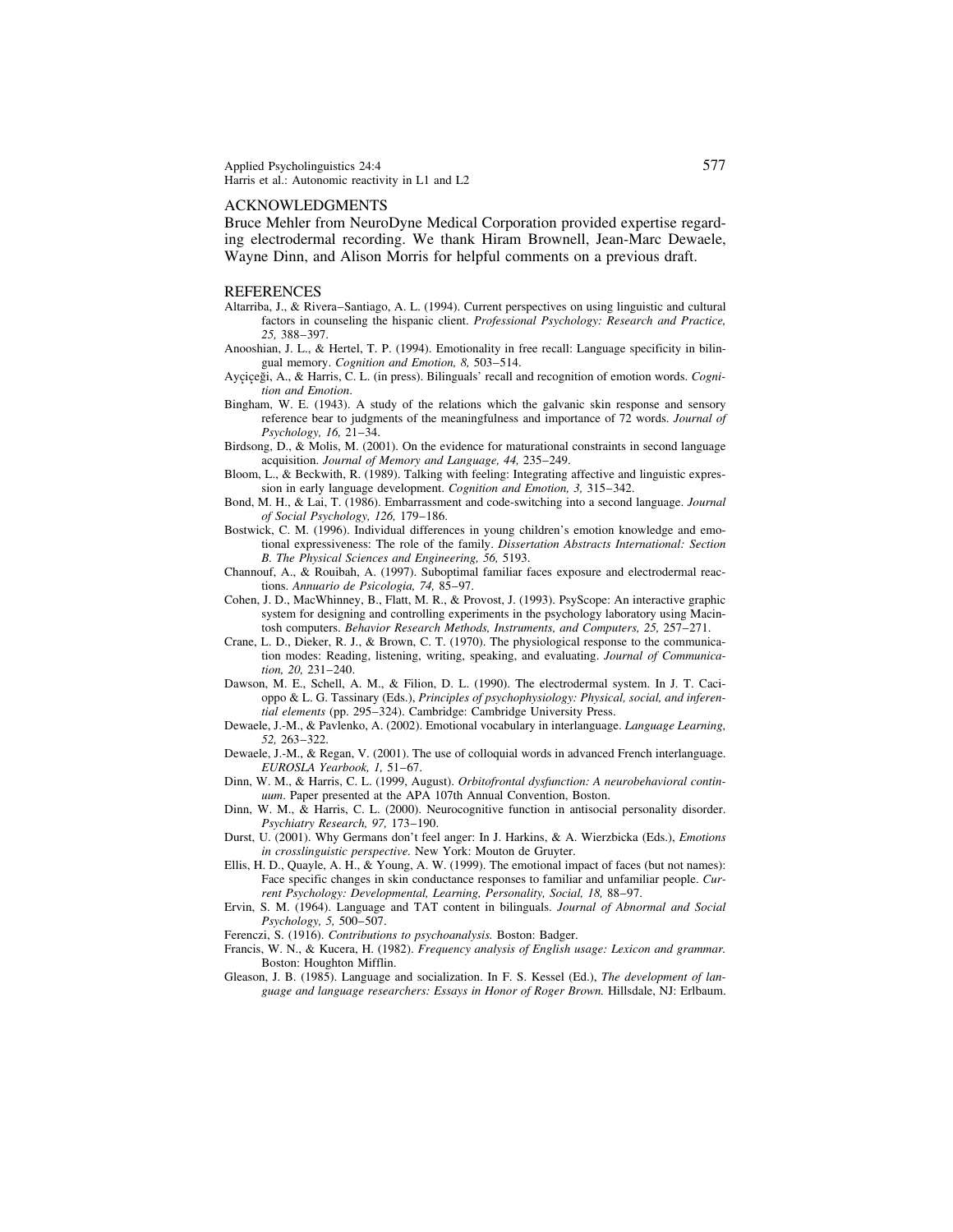Applied Psycholinguistics 24:4 577 Harris et al.: Autonomic reactivity in L1 and L2

## ACKNOWLEDGMENTS

Bruce Mehler from NeuroDyne Medical Corporation provided expertise regarding electrodermal recording. We thank Hiram Brownell, Jean-Marc Dewaele, Wayne Dinn, and Alison Morris for helpful comments on a previous draft.

## REFERENCES

- Altarriba, J., & Rivera–Santiago, A. L. (1994). Current perspectives on using linguistic and cultural factors in counseling the hispanic client. *Professional Psychology: Research and Practice, 25,* 388–397.
- Anooshian, J. L., & Hertel, T. P. (1994). Emotionality in free recall: Language specificity in bilingual memory. *Cognition and Emotion, 8,* 503–514.
- Ayçiçeği, A., & Harris, C. L. (in press). Bilinguals' recall and recognition of emotion words. *Cognition and Emotion*.
- Bingham, W. E. (1943). A study of the relations which the galvanic skin response and sensory reference bear to judgments of the meaningfulness and importance of 72 words. *Journal of Psychology, 16,* 21–34.
- Birdsong, D., & Molis, M. (2001). On the evidence for maturational constraints in second language acquisition. *Journal of Memory and Language, 44,* 235–249.
- Bloom, L., & Beckwith, R. (1989). Talking with feeling: Integrating affective and linguistic expression in early language development. *Cognition and Emotion, 3,* 315–342.
- Bond, M. H., & Lai, T. (1986). Embarrassment and code-switching into a second language. *Journal of Social Psychology, 126,* 179–186.
- Bostwick, C. M. (1996). Individual differences in young children's emotion knowledge and emotional expressiveness: The role of the family. *Dissertation Abstracts International: Section B. The Physical Sciences and Engineering, 56,* 5193.
- Channouf, A., & Rouibah, A. (1997). Suboptimal familiar faces exposure and electrodermal reactions. *Annuario de Psicologia, 74,* 85–97.
- Cohen, J. D., MacWhinney, B., Flatt, M. R., & Provost, J. (1993). PsyScope: An interactive graphic system for designing and controlling experiments in the psychology laboratory using Macintosh computers. *Behavior Research Methods, Instruments, and Computers, 25,* 257–271.
- Crane, L. D., Dieker, R. J., & Brown, C. T. (1970). The physiological response to the communication modes: Reading, listening, writing, speaking, and evaluating. *Journal of Communication, 20,* 231–240.
- Dawson, M. E., Schell, A. M., & Filion, D. L. (1990). The electrodermal system. In J. T. Cacioppo & L. G. Tassinary (Eds.), *Principles of psychophysiology: Physical, social, and inferential elements* (pp. 295–324). Cambridge: Cambridge University Press.
- Dewaele, J.-M., & Pavlenko, A. (2002). Emotional vocabulary in interlanguage. *Language Learning, 52,* 263–322.
- Dewaele, J.-M., & Regan, V. (2001). The use of colloquial words in advanced French interlanguage. *EUROSLA Yearbook, 1,* 51–67.
- Dinn, W. M., & Harris, C. L. (1999, August). *Orbitofrontal dysfunction: A neurobehavioral continuum*. Paper presented at the APA 107th Annual Convention, Boston.
- Dinn, W. M., & Harris, C. L. (2000). Neurocognitive function in antisocial personality disorder. *Psychiatry Research, 97,* 173–190.
- Durst, U. (2001). Why Germans don't feel anger: In J. Harkins, & A. Wierzbicka (Eds.), *Emotions in crosslinguistic perspective.* New York: Mouton de Gruyter.
- Ellis, H. D., Quayle, A. H., & Young, A. W. (1999). The emotional impact of faces (but not names): Face specific changes in skin conductance responses to familiar and unfamiliar people. *Current Psychology: Developmental, Learning, Personality, Social, 18,* 88–97.
- Ervin, S. M. (1964). Language and TAT content in bilinguals. *Journal of Abnormal and Social Psychology, 5,* 500–507.
- Ferenczi, S. (1916). *Contributions to psychoanalysis.* Boston: Badger.
- Francis, W. N., & Kucera, H. (1982). *Frequency analysis of English usage: Lexicon and grammar.* Boston: Houghton Mifflin.
- Gleason, J. B. (1985). Language and socialization. In F. S. Kessel (Ed.), *The development of language and language researchers: Essays in Honor of Roger Brown.* Hillsdale, NJ: Erlbaum.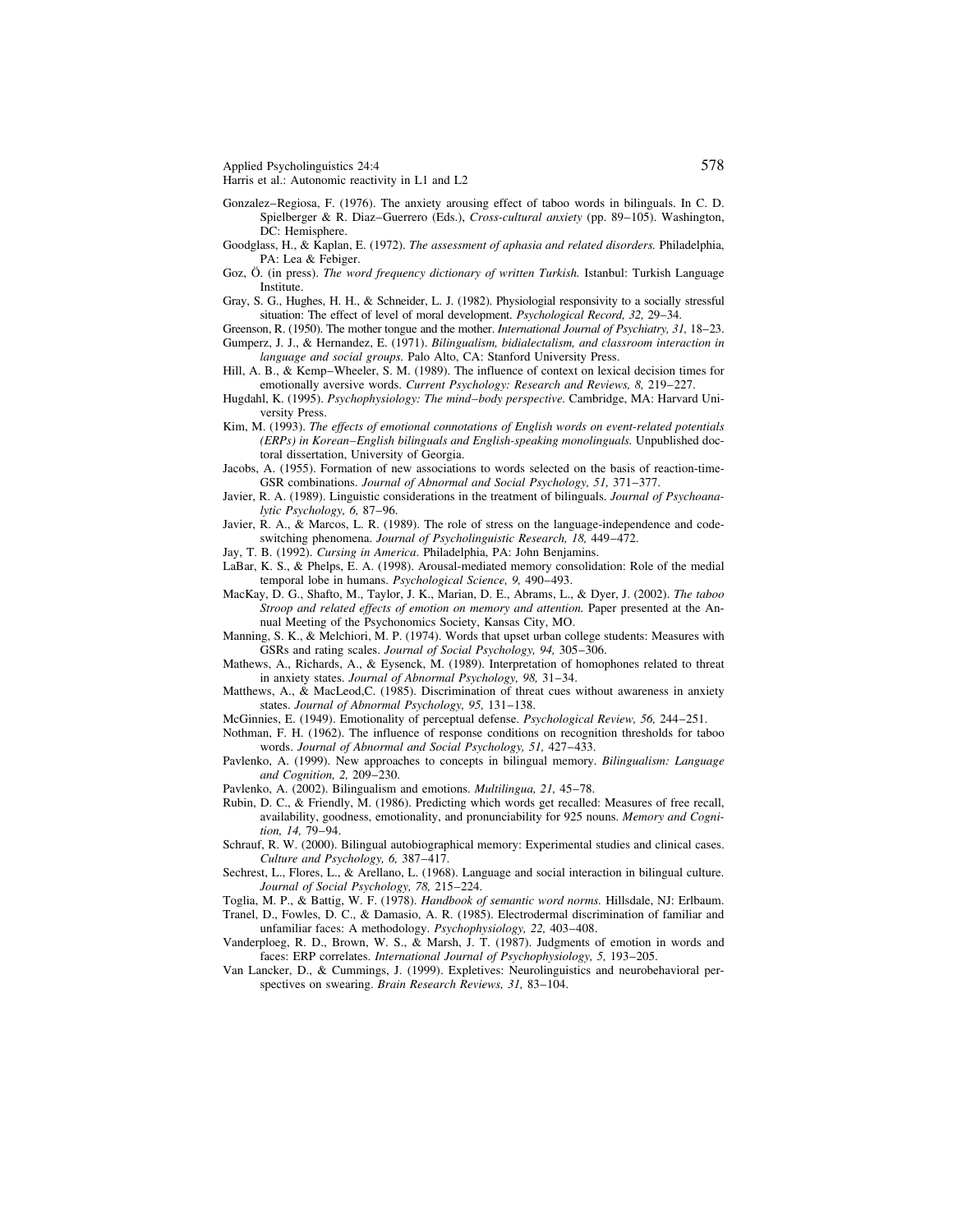Applied Psycholinguistics 24:4 578 Harris et al.: Autonomic reactivity in L1 and L2

- Gonzalez–Regiosa, F. (1976). The anxiety arousing effect of taboo words in bilinguals. In C. D. Spielberger & R. Diaz–Guerrero (Eds.), *Cross-cultural anxiety* (pp. 89–105). Washington, DC: Hemisphere.
- Goodglass, H., & Kaplan, E. (1972). *The assessment of aphasia and related disorders.* Philadelphia, PA: Lea & Febiger.
- Goz, Ö. (in press). *The word frequency dictionary of written Turkish*. Istanbul: Turkish Language Institute.
- Gray, S. G., Hughes, H. H., & Schneider, L. J. (1982). Physiologial responsivity to a socially stressful situation: The effect of level of moral development. *Psychological Record, 32,* 29–34.

Greenson, R. (1950). The mother tongue and the mother. *International Journal of Psychiatry, 31,* 18–23. Gumperz, J. J., & Hernandez, E. (1971). *Bilingualism, bidialectalism, and classroom interaction in language and social groups.* Palo Alto, CA: Stanford University Press.

Hill, A. B., & Kemp–Wheeler, S. M. (1989). The influence of context on lexical decision times for emotionally aversive words. *Current Psychology: Research and Reviews, 8,* 219–227.

- Kim, M. (1993). *The effects of emotional connotations of English words on event-related potentials (ERPs) in Korean–English bilinguals and English-speaking monolinguals.* Unpublished doctoral dissertation, University of Georgia.
- Jacobs, A. (1955). Formation of new associations to words selected on the basis of reaction-time-GSR combinations. *Journal of Abnormal and Social Psychology, 51,* 371–377.
- Javier, R. A. (1989). Linguistic considerations in the treatment of bilinguals. *Journal of Psychoanalytic Psychology, 6,* 87–96.

Javier, R. A., & Marcos, L. R. (1989). The role of stress on the language-independence and codeswitching phenomena. *Journal of Psycholinguistic Research, 18,* 449–472.

- Jay, T. B. (1992). *Cursing in America*. Philadelphia, PA: John Benjamins.
- LaBar, K. S., & Phelps, E. A. (1998). Arousal-mediated memory consolidation: Role of the medial temporal lobe in humans. *Psychological Science, 9,* 490–493.
- MacKay, D. G., Shafto, M., Taylor, J. K., Marian, D. E., Abrams, L., & Dyer, J. (2002). *The taboo Stroop and related effects of emotion on memory and attention.* Paper presented at the Annual Meeting of the Psychonomics Society, Kansas City, MO.

Manning, S. K., & Melchiori, M. P. (1974). Words that upset urban college students: Measures with GSRs and rating scales. *Journal of Social Psychology, 94,* 305–306.

- Mathews, A., Richards, A., & Eysenck, M. (1989). Interpretation of homophones related to threat in anxiety states. *Journal of Abnormal Psychology, 98,* 31–34.
- Matthews, A., & MacLeod,C. (1985). Discrimination of threat cues without awareness in anxiety states. *Journal of Abnormal Psychology, 95,* 131–138.
- McGinnies, E. (1949). Emotionality of perceptual defense. *Psychological Review, 56,* 244–251.
- Nothman, F. H. (1962). The influence of response conditions on recognition thresholds for taboo words. *Journal of Abnormal and Social Psychology, 51,* 427–433.
- Pavlenko, A. (1999). New approaches to concepts in bilingual memory. *Bilingualism: Language and Cognition, 2,* 209–230.
- Pavlenko, A. (2002). Bilingualism and emotions. *Multilingua, 21,* 45–78.
- Rubin, D. C., & Friendly, M. (1986). Predicting which words get recalled: Measures of free recall, availability, goodness, emotionality, and pronunciability for 925 nouns. *Memory and Cognition, 14,* 79–94.
- Schrauf, R. W. (2000). Bilingual autobiographical memory: Experimental studies and clinical cases. *Culture and Psychology, 6,* 387–417.
- Sechrest, L., Flores, L., & Arellano, L. (1968). Language and social interaction in bilingual culture. *Journal of Social Psychology, 78,* 215–224.

Toglia, M. P., & Battig, W. F. (1978). *Handbook of semantic word norms.* Hillsdale, NJ: Erlbaum. Tranel, D., Fowles, D. C., & Damasio, A. R. (1985). Electrodermal discrimination of familiar and unfamiliar faces: A methodology. *Psychophysiology, 22,* 403–408.

- Vanderploeg, R. D., Brown, W. S., & Marsh, J. T. (1987). Judgments of emotion in words and faces: ERP correlates. *International Journal of Psychophysiology, 5,* 193–205.
- Van Lancker, D., & Cummings, J. (1999). Expletives: Neurolinguistics and neurobehavioral perspectives on swearing. *Brain Research Reviews, 31,* 83–104.

Hugdahl, K. (1995). *Psychophysiology: The mind–body perspective.* Cambridge, MA: Harvard University Press.